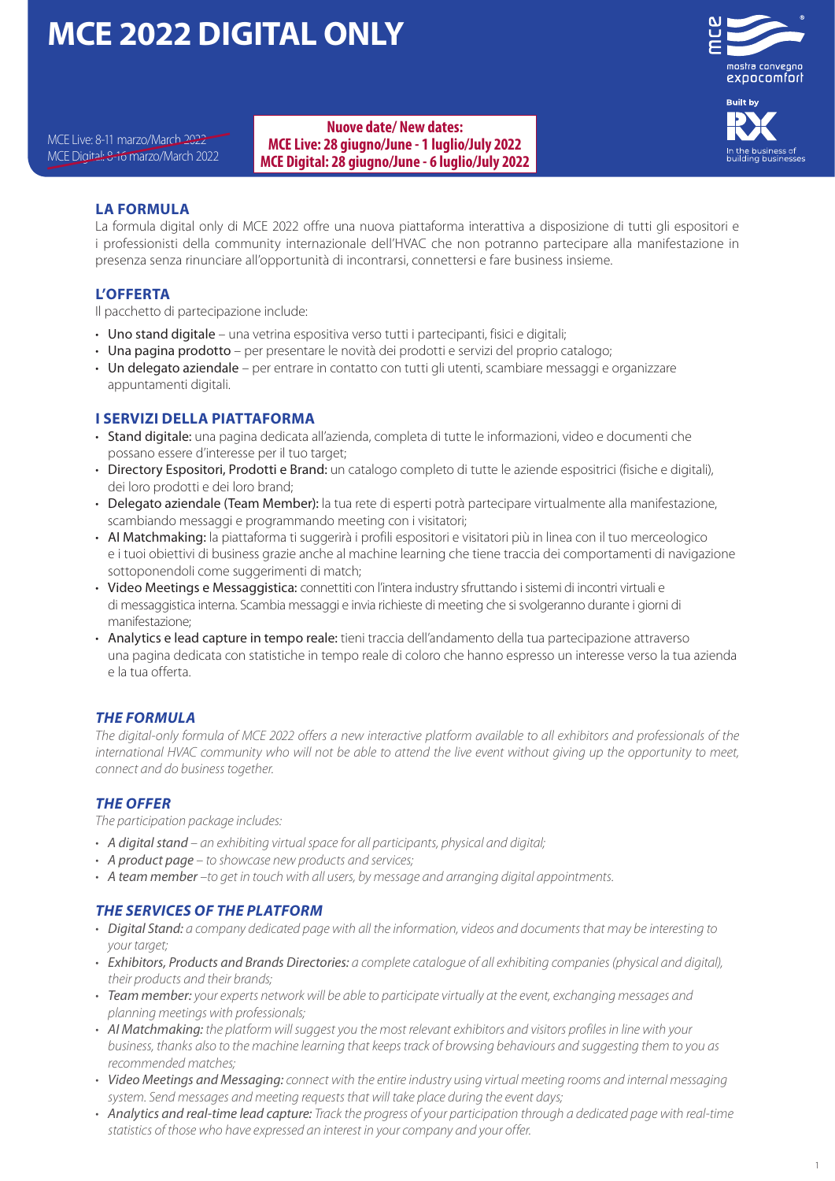# **MCE 2022 DIGITAL ONLY**



MCE Live**:** 8-11 marzo/March 2022<br>MCE Digital: 8-16 marzo/March 2022 **MCE Digital: 28 giugno/June - 6 Juglio/July 2022 Nuove date/ New dates: MCE Digital: 28 giugno/June - 6 luglio/July 2022**

## **LA FORMULA**

La formula digital only di MCE 2022 offre una nuova piattaforma interattiva a disposizione di tutti gli espositori e i professionisti della community internazionale dell'HVAC che non potranno partecipare alla manifestazione in presenza senza rinunciare all'opportunità di incontrarsi, connettersi e fare business insieme.

## **L'OFFERTA**

Il pacchetto di partecipazione include:

- Uno stand digitale una vetrina espositiva verso tutti i partecipanti, fisici e digitali:
- Una pagina prodotto per presentare le novità dei prodotti e servizi del proprio catalogo;
- Un delegato aziendale per entrare in contatto con tutti gli utenti, scambiare messaggi e organizzare appuntamenti digitali.

## **I SERVIZI DELLA PIATTAFORMA**

- Stand digitale: una pagina dedicata all'azienda, completa di tutte le informazioni, video e documenti che possano essere d'interesse per il tuo target;
- Directory Espositori, Prodotti e Brand: un catalogo completo di tutte le aziende espositrici (fisiche e digitali), dei loro prodotti e dei loro brand;
- Delegato aziendale (Team Member): la tua rete di esperti potrà partecipare virtualmente alla manifestazione, scambiando messaggi e programmando meeting con i visitatori;
- AI Matchmaking: la piattaforma ti suggerirà i profili espositori e visitatori più in linea con il tuo merceologico e i tuoi obiettivi di business grazie anche al machine learning che tiene traccia dei comportamenti di navigazione sottoponendoli come suggerimenti di match;
- Video Meetings e Messaggistica: connettiti con l'intera industry sfruttando i sistemi di incontri virtuali e di messaggistica interna. Scambia messaggi e invia richieste di meeting che si svolgeranno durante i giorni di manifestazione;
- Analytics e lead capture in tempo reale: tieni traccia dell'andamento della tua partecipazione attraverso una pagina dedicata con statistiche in tempo reale di coloro che hanno espresso un interesse verso la tua azienda e la tua offerta.

## *THE FORMULA*

*The digital-only formula of MCE 2022 offers a new interactive platform available to all exhibitors and professionals of the international HVAC community who will not be able to attend the live event without giving up the opportunity to meet, connect and do business together.*

## *THE OFFER*

*The participation package includes:* 

- *• A digital stand an exhibiting virtual space for all participants, physical and digital;*
- *• A product page to showcase new products and services;*
- *• A team member –to get in touch with all users, by message and arranging digital appointments.*

### *THE SERVICES OF THE PLATFORM*

- *• Digital Stand: a company dedicated page with all the information, videos and documents that may be interesting to your target;*
- *• Exhibitors, Products and Brands Directories: a complete catalogue of all exhibiting companies (physical and digital), their products and their brands;*
- *• Team member: your experts network will be able to participate virtually at the event, exchanging messages and planning meetings with professionals;*
- *• AI Matchmaking: the platform will suggest you the most relevant exhibitors and visitors profiles in line with your business, thanks also to the machine learning that keeps track of browsing behaviours and suggesting them to you as recommended matches;*
- *• Video Meetings and Messaging: connect with the entire industry using virtual meeting rooms and internal messaging system. Send messages and meeting requests that will take place during the event days;*
- *• Analytics and real-time lead capture: Track the progress of your participation through a dedicated page with real-time statistics of those who have expressed an interest in your company and your offer.*

mostra convegno expocomfort

**Built by**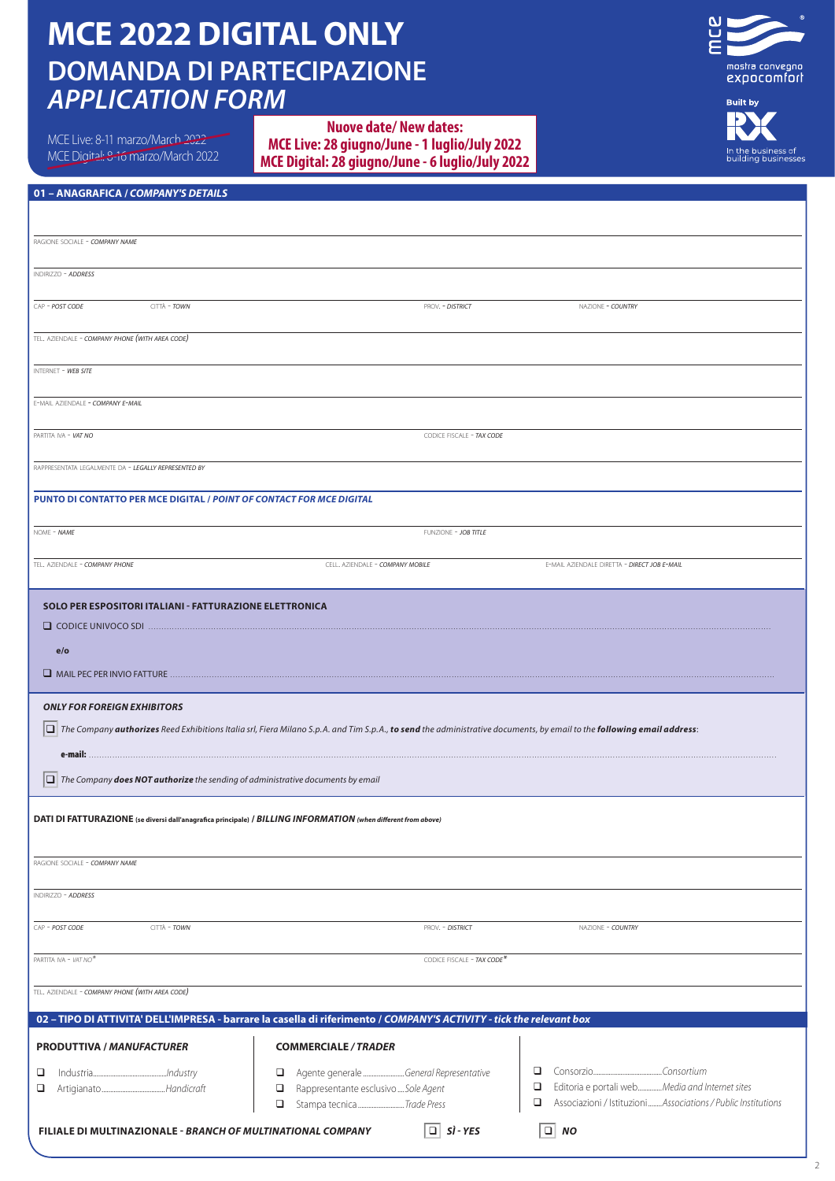# **DOMANDA DI PARTECIPAZIONE** *APPLICATION FORM*  **MCE 2022 DIGITAL ONLY**

MCE Live: 8-11 marzo/March 2022

MCE Digital: 8-16 marzo/March 2022

## 8-11 Marzo/March 2022<br>al: 8-16 marzo/March 2022 **- HYPER REALITY MCE Digital: 28 giugno/June - 6 luglio/July 2022 Nuove date/ New dates: MCE Live: 28 giugno/June - 1 luglio/July 2022**



In the business of<br>building businesses

## **01 – ANAGRAFICA /** *COMPANY'S DETAILS*

| RAGIONE SOCIALE - COMPANY NAME                                                                                                                                                                                                                                                                                                                                                                                                                                        |                                                                                                                                                                                                   |                                                                                                                                           |  |  |  |
|-----------------------------------------------------------------------------------------------------------------------------------------------------------------------------------------------------------------------------------------------------------------------------------------------------------------------------------------------------------------------------------------------------------------------------------------------------------------------|---------------------------------------------------------------------------------------------------------------------------------------------------------------------------------------------------|-------------------------------------------------------------------------------------------------------------------------------------------|--|--|--|
| INDIRIZZO - ADDRESS                                                                                                                                                                                                                                                                                                                                                                                                                                                   |                                                                                                                                                                                                   |                                                                                                                                           |  |  |  |
| CAP - POST CODE<br>CITTÀ - TOWN                                                                                                                                                                                                                                                                                                                                                                                                                                       | PROV. - DISTRICT                                                                                                                                                                                  | NAZIONE - COUNTRY                                                                                                                         |  |  |  |
| TEL. AZIENDALE - COMPANY PHONE (WITH AREA CODE)                                                                                                                                                                                                                                                                                                                                                                                                                       |                                                                                                                                                                                                   |                                                                                                                                           |  |  |  |
| INTERNET - WEB SITE                                                                                                                                                                                                                                                                                                                                                                                                                                                   |                                                                                                                                                                                                   |                                                                                                                                           |  |  |  |
| E-MAIL AZIENDALE - COMPANY E-MAIL                                                                                                                                                                                                                                                                                                                                                                                                                                     |                                                                                                                                                                                                   |                                                                                                                                           |  |  |  |
| PARTITA IVA - VAT NO                                                                                                                                                                                                                                                                                                                                                                                                                                                  | CODICE FISCALE - TAX CODE                                                                                                                                                                         |                                                                                                                                           |  |  |  |
| RAPPRESENTATA LEGALMENTE DA - LEGALLY REPRESENTED BY                                                                                                                                                                                                                                                                                                                                                                                                                  |                                                                                                                                                                                                   |                                                                                                                                           |  |  |  |
| PUNTO DI CONTATTO PER MCE DIGITAL / POINT OF CONTACT FOR MCE DIGITAL                                                                                                                                                                                                                                                                                                                                                                                                  |                                                                                                                                                                                                   |                                                                                                                                           |  |  |  |
| NOME - NAME                                                                                                                                                                                                                                                                                                                                                                                                                                                           | FUNZIONE - JOB TITLE                                                                                                                                                                              |                                                                                                                                           |  |  |  |
| TEL. AZIENDALE - COMPANY PHONE                                                                                                                                                                                                                                                                                                                                                                                                                                        | CELL. AZIENDALE - COMPANY MOBILE                                                                                                                                                                  | E-MAIL AZIENDALE DIRETTA - DIRECT JOB E-MAIL                                                                                              |  |  |  |
| <b>SOLO PER ESPOSITORI ITALIANI - FATTURAZIONE ELETTRONICA</b><br>e/o<br>MAIL PEC PER INVIO FATTURE<br><b>ONLY FOR FOREIGN EXHIBITORS</b><br>e-mail:<br>$ \Box $ The Company <b>does NOT authorize</b> the sending of administrative documents by email<br>DATI DI FATTURAZIONE (se diversi dall'anagrafica principale) / BILLING INFORMATION (when different from above)<br>RAGIONE SOCIALE - COMPANY NAME<br>INDIRIZZO - ADDRESS<br>CAP - POST CODE<br>CITTÀ - TOWN | $\Box$ The Company authorizes Reed Exhibitions Italia srl, Fiera Milano S.p.A. and Tim S.p.A., to send the administrative documents, by email to the following email address:<br>PROV. - DISTRICT | NAZIONE - COUNTRY                                                                                                                         |  |  |  |
| PARTITA IVA - VAT NO*                                                                                                                                                                                                                                                                                                                                                                                                                                                 | CODICE FISCALE - TAX CODE*                                                                                                                                                                        |                                                                                                                                           |  |  |  |
|                                                                                                                                                                                                                                                                                                                                                                                                                                                                       |                                                                                                                                                                                                   |                                                                                                                                           |  |  |  |
| TEL. AZIENDALE - COMPANY PHONE (WITH AREA CODE)                                                                                                                                                                                                                                                                                                                                                                                                                       |                                                                                                                                                                                                   |                                                                                                                                           |  |  |  |
| 02 - TIPO DI ATTIVITA' DELL'IMPRESA - barrare la casella di riferimento / COMPANY'S ACTIVITY - tick the relevant box                                                                                                                                                                                                                                                                                                                                                  |                                                                                                                                                                                                   |                                                                                                                                           |  |  |  |
| <b>PRODUTTIVA / MANUFACTURER</b>                                                                                                                                                                                                                                                                                                                                                                                                                                      | <b>COMMERCIALE / TRADER</b>                                                                                                                                                                       |                                                                                                                                           |  |  |  |
| ❏<br>❏                                                                                                                                                                                                                                                                                                                                                                                                                                                                | Agente generale General Representative<br>□<br>Rappresentante esclusivo  Sole Agent<br>□<br>Stampa tecnica Trade Press<br>o                                                                       | ▫<br>Editoria e portali webMedia and Internet sites<br>$\Box$<br>$\Box$<br>Associazioni / Istituzioni  Associations / Public Institutions |  |  |  |
| $\Box$ Si - YES<br>$\Box$ NO<br>FILIALE DI MULTINAZIONALE - BRANCH OF MULTINATIONAL COMPANY                                                                                                                                                                                                                                                                                                                                                                           |                                                                                                                                                                                                   |                                                                                                                                           |  |  |  |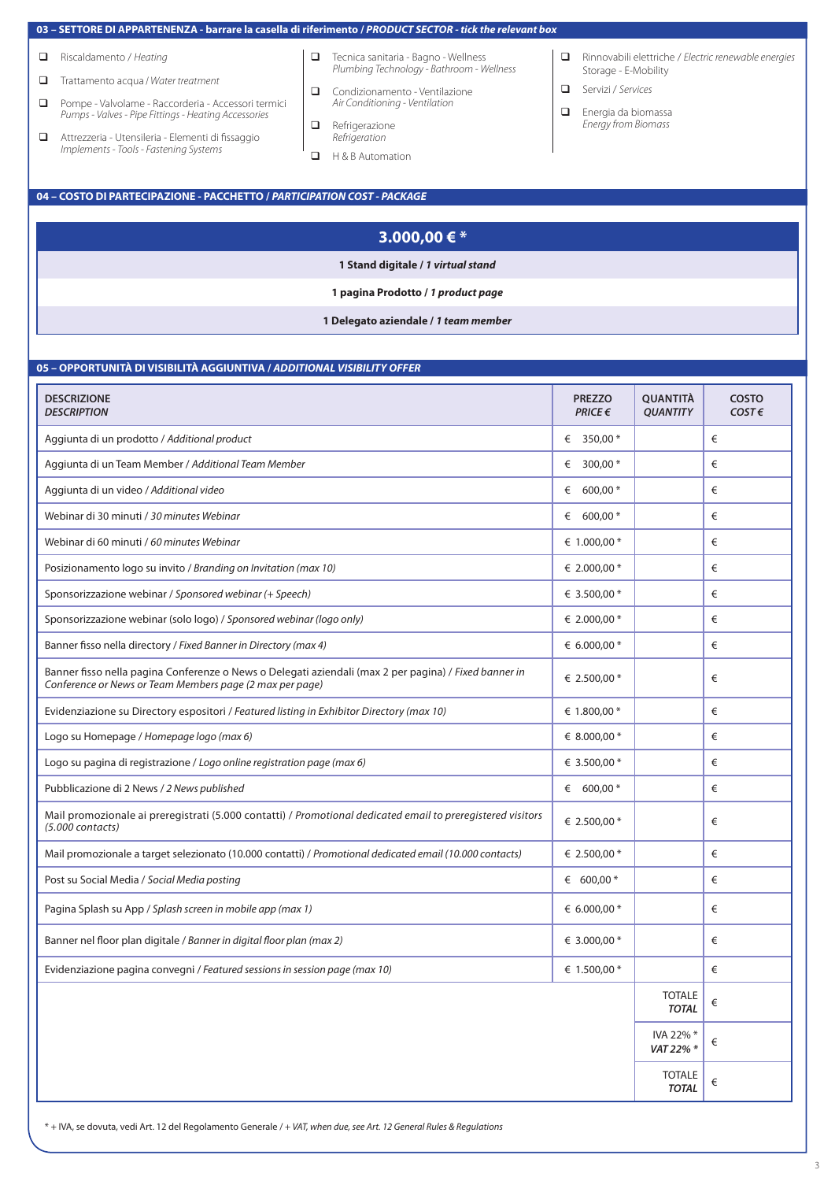### **03 – SETTORE DI APPARTENENZA - barrare la casella di riferimento /** *PRODUCT SECTOR - tick the relevant box*

- q Riscaldamento / *Heating*
- q Trattamento acqua / *Water treatment*
- **Q** Pompe Valvolame Raccorderia Accessori termici *Pumps - Valves - Pipe Fittings - Heating Accessories*
- q Attrezzeria Utensileria Elementi di fissaggio *Implements - Tools - Fastening Systems*
- **q** Tecnica sanitaria Bagno Wellness *Plumbing Technology - Bathroom - Wellness*
- **Q** Condizionamento Ventilazione *Air Conditioning - Ventilation*
- **q** Refrigerazione *Refrigeration*
- **Q** H & B Automation
- q Rinnovabili elettriche / *Electric renewable energies* Storage - E-Mobility
- q Servizi / *Services*
- $\Box$  Energia da biomassa *Energy from Biomass*

## **04 – COSTO DI PARTECIPAZIONE - PACCHETTO /** *PARTICIPATION COST - PACKAGE*

| 3.000,00 € $*$                       |  |
|--------------------------------------|--|
| 1 Stand digitale / 1 virtual stand   |  |
| 1 pagina Prodotto / 1 product page   |  |
| 1 Delegato aziendale / 1 team member |  |

### **05 – OPPORTUNITÀ DI VISIBILITÀ AGGIUNTIVA /** *ADDITIONAL VISIBILITY OFFER*

| <b>DESCRIZIONE</b><br><b>DESCRIPTION</b>                                                                                                                          | <b>PREZZO</b><br>$PRICE \in$ | <b>QUANTITÀ</b><br><b>QUANTITY</b> | <b>COSTO</b><br>$COST \in$ |
|-------------------------------------------------------------------------------------------------------------------------------------------------------------------|------------------------------|------------------------------------|----------------------------|
| Aggiunta di un prodotto / Additional product                                                                                                                      | € 350,00 $*$                 |                                    | €                          |
| Aggiunta di un Team Member / Additional Team Member                                                                                                               | 300,00 *<br>€                |                                    | €                          |
| Aggiunta di un video / Additional video                                                                                                                           | $600,00*$                    |                                    | €                          |
| Webinar di 30 minuti / 30 minutes Webinar                                                                                                                         | $600,00*$                    |                                    | €                          |
| Webinar di 60 minuti / 60 minutes Webinar                                                                                                                         | $\epsilon$ 1.000,00 $*$      |                                    | €                          |
| Posizionamento logo su invito / Branding on Invitation (max 10)                                                                                                   | $\epsilon$ 2.000,00 $*$      |                                    | €                          |
| Sponsorizzazione webinar / Sponsored webinar (+ Speech)                                                                                                           | € 3.500,00 *                 |                                    | €                          |
| Sponsorizzazione webinar (solo logo) / Sponsored webinar (logo only)                                                                                              | $\epsilon$ 2.000,00 $*$      |                                    | €                          |
| Banner fisso nella directory / Fixed Banner in Directory (max 4)                                                                                                  | $\epsilon$ 6.000,00 *        |                                    | €                          |
| Banner fisso nella pagina Conferenze o News o Delegati aziendali (max 2 per pagina) / Fixed banner in<br>Conference or News or Team Members page (2 max per page) | $\epsilon$ 2.500,00 $*$      |                                    | €                          |
| Evidenziazione su Directory espositori / Featured listing in Exhibitor Directory (max 10)                                                                         | $\epsilon$ 1.800.00 *        |                                    | €                          |
| Logo su Homepage / Homepage logo (max 6)                                                                                                                          | $\epsilon$ 8.000,00 $*$      |                                    | €                          |
| Logo su pagina di registrazione / Logo online registration page (max 6)                                                                                           | € 3.500,00 *                 |                                    | €                          |
| Pubblicazione di 2 News / 2 News published                                                                                                                        | $600,00*$                    |                                    | €                          |
| Mail promozionale ai preregistrati (5.000 contatti) / Promotional dedicated email to preregistered visitors<br>$(5.000$ contacts)                                 | $\epsilon$ 2.500,00 $*$      |                                    | €                          |
| Mail promozionale a target selezionato (10.000 contatti) / Promotional dedicated email (10.000 contacts)                                                          | $\epsilon$ 2.500,00 $*$      |                                    | €                          |
| Post su Social Media / Social Media posting                                                                                                                       | $600,00*$                    |                                    | €                          |
| Pagina Splash su App / Splash screen in mobile app (max 1)                                                                                                        | $\epsilon$ 6.000,00 *        |                                    | €                          |
| Banner nel floor plan digitale / Banner in digital floor plan (max 2)                                                                                             | $\epsilon$ 3.000,00 $*$      |                                    | €                          |
| Evidenziazione pagina convegni / Featured sessions in session page (max 10)                                                                                       | $\epsilon$ 1.500,00 $*$      |                                    | €                          |
|                                                                                                                                                                   |                              | <b>TOTALE</b><br><b>TOTAL</b>      | €                          |
|                                                                                                                                                                   |                              | IVA 22% *<br>VAT 22% *             | €                          |
|                                                                                                                                                                   |                              | <b>TOTALE</b><br><b>TOTAL</b>      | €                          |

\* + IVA, se dovuta, vedi Art. 12 del Regolamento Generale / *+ VAT, when due, see Art. 12 General Rules & Regulations*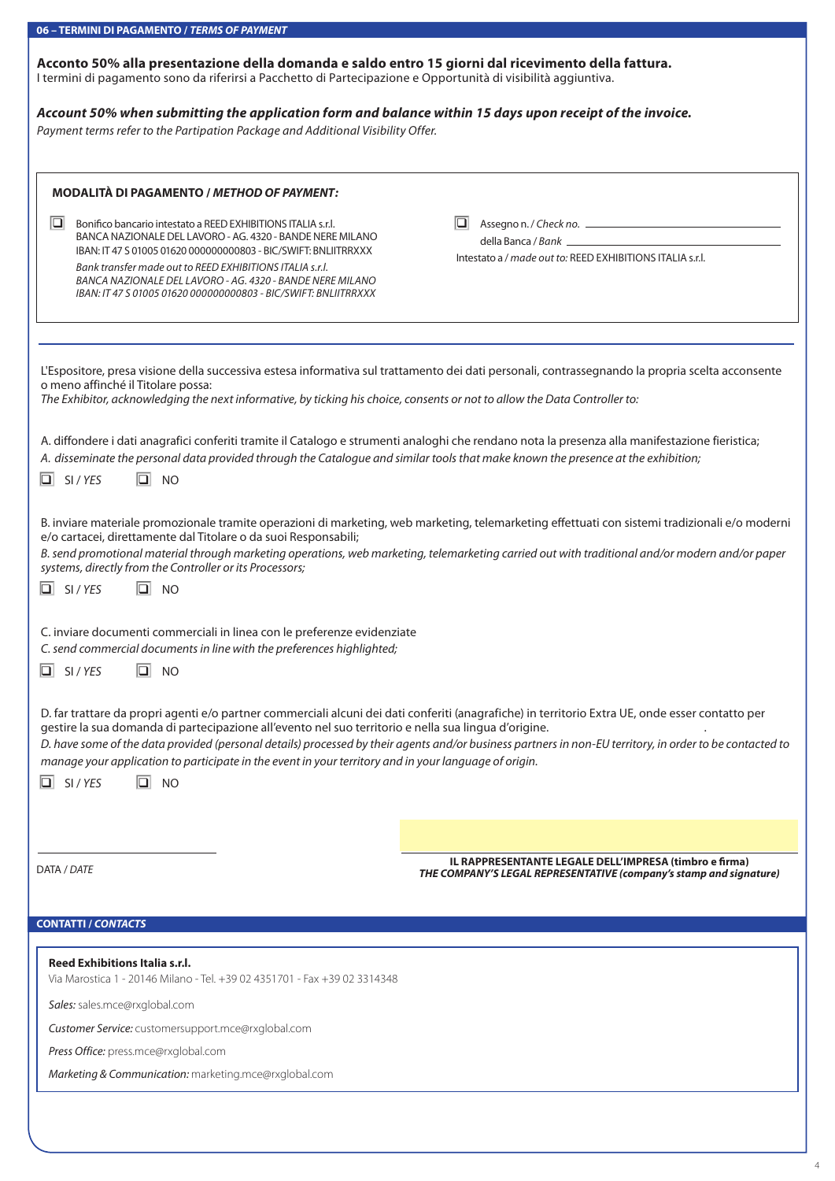| 06 - TERMINI DI PAGAMENTO / TERMS OF PAYMENT                                                                                                                                                                                                                                                                                                                                                                                                                                                                                  |                                                                                                                                                  |  |  |  |
|-------------------------------------------------------------------------------------------------------------------------------------------------------------------------------------------------------------------------------------------------------------------------------------------------------------------------------------------------------------------------------------------------------------------------------------------------------------------------------------------------------------------------------|--------------------------------------------------------------------------------------------------------------------------------------------------|--|--|--|
| Acconto 50% alla presentazione della domanda e saldo entro 15 giorni dal ricevimento della fattura.<br>I termini di pagamento sono da riferirsi a Pacchetto di Partecipazione e Opportunità di visibilità aggiuntiva.                                                                                                                                                                                                                                                                                                         |                                                                                                                                                  |  |  |  |
| Account 50% when submitting the application form and balance within 15 days upon receipt of the invoice.                                                                                                                                                                                                                                                                                                                                                                                                                      |                                                                                                                                                  |  |  |  |
| Payment terms refer to the Partipation Package and Additional Visibility Offer.                                                                                                                                                                                                                                                                                                                                                                                                                                               |                                                                                                                                                  |  |  |  |
|                                                                                                                                                                                                                                                                                                                                                                                                                                                                                                                               |                                                                                                                                                  |  |  |  |
|                                                                                                                                                                                                                                                                                                                                                                                                                                                                                                                               |                                                                                                                                                  |  |  |  |
| <b>MODALITÀ DI PAGAMENTO / METHOD OF PAYMENT:</b>                                                                                                                                                                                                                                                                                                                                                                                                                                                                             |                                                                                                                                                  |  |  |  |
|                                                                                                                                                                                                                                                                                                                                                                                                                                                                                                                               |                                                                                                                                                  |  |  |  |
| $\Box$<br>Bonifico bancario intestato a REED EXHIBITIONS ITALIA s.r.l.                                                                                                                                                                                                                                                                                                                                                                                                                                                        | IQI<br>Assegno n. / Check no.                                                                                                                    |  |  |  |
| BANCA NAZIONALE DEL LAVORO - AG. 4320 - BANDE NERE MILANO<br>IBAN: IT 47 S 01005 01620 000000000803 - BIC/SWIFT: BNLIITRRXXX                                                                                                                                                                                                                                                                                                                                                                                                  |                                                                                                                                                  |  |  |  |
| Bank transfer made out to REED EXHIBITIONS ITALIA s.r.l.                                                                                                                                                                                                                                                                                                                                                                                                                                                                      | Intestato a / made out to: REED EXHIBITIONS ITALIA s.r.l.                                                                                        |  |  |  |
| BANCA NAZIONALE DEL LAVORO - AG. 4320 - BANDE NERE MILANO<br>IBAN: IT 47 S 01005 01620 000000000803 - BIC/SWIFT: BNLIITRRXXX                                                                                                                                                                                                                                                                                                                                                                                                  |                                                                                                                                                  |  |  |  |
|                                                                                                                                                                                                                                                                                                                                                                                                                                                                                                                               |                                                                                                                                                  |  |  |  |
|                                                                                                                                                                                                                                                                                                                                                                                                                                                                                                                               |                                                                                                                                                  |  |  |  |
|                                                                                                                                                                                                                                                                                                                                                                                                                                                                                                                               |                                                                                                                                                  |  |  |  |
|                                                                                                                                                                                                                                                                                                                                                                                                                                                                                                                               |                                                                                                                                                  |  |  |  |
| o meno affinché il Titolare possa:                                                                                                                                                                                                                                                                                                                                                                                                                                                                                            | L'Espositore, presa visione della successiva estesa informativa sul trattamento dei dati personali, contrassegnando la propria scelta acconsente |  |  |  |
| The Exhibitor, acknowledging the next informative, by ticking his choice, consents or not to allow the Data Controller to:                                                                                                                                                                                                                                                                                                                                                                                                    |                                                                                                                                                  |  |  |  |
|                                                                                                                                                                                                                                                                                                                                                                                                                                                                                                                               |                                                                                                                                                  |  |  |  |
| A. diffondere i dati anagrafici conferiti tramite il Catalogo e strumenti analoghi che rendano nota la presenza alla manifestazione fieristica;                                                                                                                                                                                                                                                                                                                                                                               |                                                                                                                                                  |  |  |  |
| A. disseminate the personal data provided through the Catalogue and similar tools that make known the presence at the exhibition;                                                                                                                                                                                                                                                                                                                                                                                             |                                                                                                                                                  |  |  |  |
| $\boxed{\square}$ SI/YES<br>$\boxed{=}$ NO                                                                                                                                                                                                                                                                                                                                                                                                                                                                                    |                                                                                                                                                  |  |  |  |
|                                                                                                                                                                                                                                                                                                                                                                                                                                                                                                                               |                                                                                                                                                  |  |  |  |
| B. inviare materiale promozionale tramite operazioni di marketing, web marketing, telemarketing effettuati con sistemi tradizionali e/o moderni<br>e/o cartacei, direttamente dal Titolare o da suoi Responsabili;                                                                                                                                                                                                                                                                                                            |                                                                                                                                                  |  |  |  |
| systems, directly from the Controller or its Processors;                                                                                                                                                                                                                                                                                                                                                                                                                                                                      | B. send promotional material through marketing operations, web marketing, telemarketing carried out with traditional and/or modern and/or paper  |  |  |  |
| $\Box$ NO<br>$\boxed{\square}$ SI/YES                                                                                                                                                                                                                                                                                                                                                                                                                                                                                         |                                                                                                                                                  |  |  |  |
|                                                                                                                                                                                                                                                                                                                                                                                                                                                                                                                               |                                                                                                                                                  |  |  |  |
| C. inviare documenti commerciali in linea con le preferenze evidenziate<br>C. send commercial documents in line with the preferences highlighted;                                                                                                                                                                                                                                                                                                                                                                             |                                                                                                                                                  |  |  |  |
| $\boxed{\Box}$ SI/YES<br>$\Box$ NO                                                                                                                                                                                                                                                                                                                                                                                                                                                                                            |                                                                                                                                                  |  |  |  |
|                                                                                                                                                                                                                                                                                                                                                                                                                                                                                                                               |                                                                                                                                                  |  |  |  |
| D. far trattare da propri agenti e/o partner commerciali alcuni dei dati conferiti (anagrafiche) in territorio Extra UE, onde esser contatto per<br>gestire la sua domanda di partecipazione all'evento nel suo territorio e nella sua lingua d'origine.<br>D. have some of the data provided (personal details) processed by their agents and/or business partners in non-EU territory, in order to be contacted to<br>manage your application to participate in the event in your territory and in your language of origin. |                                                                                                                                                  |  |  |  |
| $\boxed{\square}$ SI/YES<br>$\Box$ NO                                                                                                                                                                                                                                                                                                                                                                                                                                                                                         |                                                                                                                                                  |  |  |  |
|                                                                                                                                                                                                                                                                                                                                                                                                                                                                                                                               |                                                                                                                                                  |  |  |  |
|                                                                                                                                                                                                                                                                                                                                                                                                                                                                                                                               |                                                                                                                                                  |  |  |  |
|                                                                                                                                                                                                                                                                                                                                                                                                                                                                                                                               |                                                                                                                                                  |  |  |  |
|                                                                                                                                                                                                                                                                                                                                                                                                                                                                                                                               |                                                                                                                                                  |  |  |  |
| DATA / DATE                                                                                                                                                                                                                                                                                                                                                                                                                                                                                                                   | IL RAPPRESENTANTE LEGALE DELL'IMPRESA (timbro e firma)<br>THE COMPANY'S LEGAL REPRESENTATIVE (company's stamp and signature)                     |  |  |  |
|                                                                                                                                                                                                                                                                                                                                                                                                                                                                                                                               |                                                                                                                                                  |  |  |  |
|                                                                                                                                                                                                                                                                                                                                                                                                                                                                                                                               |                                                                                                                                                  |  |  |  |
| <b>CONTATTI / CONTACTS</b>                                                                                                                                                                                                                                                                                                                                                                                                                                                                                                    |                                                                                                                                                  |  |  |  |
|                                                                                                                                                                                                                                                                                                                                                                                                                                                                                                                               |                                                                                                                                                  |  |  |  |
| Reed Exhibitions Italia s.r.l.<br>Via Marostica 1 - 20146 Milano - Tel. +39 02 4351701 - Fax +39 02 3314348                                                                                                                                                                                                                                                                                                                                                                                                                   |                                                                                                                                                  |  |  |  |
| Sales: sales.mce@rxglobal.com                                                                                                                                                                                                                                                                                                                                                                                                                                                                                                 |                                                                                                                                                  |  |  |  |
| Customer Service: customersupport.mce@rxglobal.com                                                                                                                                                                                                                                                                                                                                                                                                                                                                            |                                                                                                                                                  |  |  |  |
| Press Office: press.mce@rxglobal.com                                                                                                                                                                                                                                                                                                                                                                                                                                                                                          |                                                                                                                                                  |  |  |  |
| Marketing & Communication: marketing.mce@rxglobal.com                                                                                                                                                                                                                                                                                                                                                                                                                                                                         |                                                                                                                                                  |  |  |  |
|                                                                                                                                                                                                                                                                                                                                                                                                                                                                                                                               |                                                                                                                                                  |  |  |  |
|                                                                                                                                                                                                                                                                                                                                                                                                                                                                                                                               |                                                                                                                                                  |  |  |  |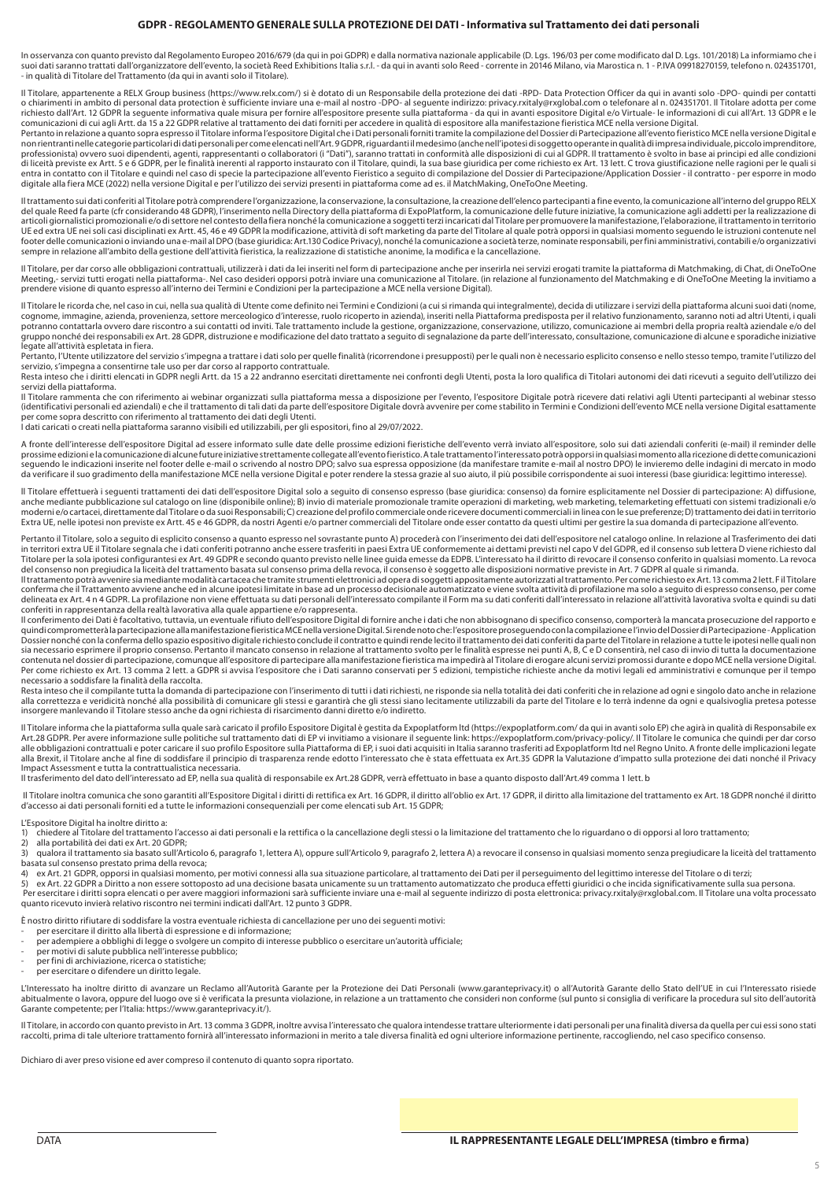#### **GDPR - REGOLAMENTO GENERALE SULLA PROTEZIONE DEI DATI - Informativa sul Trattamento dei dati personali**

In osservanza con quanto previsto dal Regolamento Europeo 2016/679 (da qui in poi GDPR) e dalla normativa nazionale applicabile (D. Lgs. 196/03 per come modificato dal D. Lgs. 101/2018) La informiamo che i suoi dati saranno trattati dall'organizzatore dell'evento, la società Reed Exhibitions Italia s.r.l. - da qui in avanti solo Reed - corrente in 20146 Milano, via Marostica n. 1 - P.IVA 09918270159, telefono n. 024351701, - in qualità di Titolare del Trattamento (da qui in avanti solo il Titolare).

Il Titolare, appartenente a RELX Group business (https://www.relx.com/) si è dotato di un Responsabile della protezione dei dati -RPD- Data Protection Officer da qui in avanti solo -DPO- quindi per contatti o chiarimenti in ambito di personal data protection è sufficiente inviare una e-mail al nostro -DPO- al seguente indirizzo: privacy.rxitaly@rxglobal.com o telefonare al n. 024351701. Il Titolare adotta per come richiesto dall'Art. 12 GDPR la seguente informativa quale misura per fornire all'espositore presente sulla piattaforma - da qui in avanti espositore Digital e/o Virtuale- le informazioni di cui all'Art. 13 GDPR e le<br>comuni

Pertanto in relazione a quanto sopra espresso il Titolare informa l'espositore Digital che i Dati personali forniti tramite la compilazione del Dossier di Partecipazione all'evento fieristico MCE nella versione Digital e non rientranti nelle categorie particolari didati personali per come elencati nell'Art.9 GDPR, riguardanti il medesimo (anche nell'ipotesi di soggetto operante in qualità di impresa individuale, piccolo imprenditore,<br>profe di liceità previste ex Artt. 5 e 6 GDPR, per le finalità inerenti al rapporto instaurato con il Titolare, quindi, la sua base giuridica per come richiesto ex Art. 13 lett. C trova giustificazione nelle ragioni per le quali digitale alla fiera MCE (2022) nella versione Digital e per l'utilizzo dei servizi presenti in piattaforma come ad es. il MatchMaking, OneToOne Meeting.

Il trattamento sui dati conferiti al Titolare potrà comprendere l'organizzazione, la conservazione, la consultazione, la creazione dell'elenco partecipanti a fine evento, la comunicazione all'interno del gruppo RELX del quale Reed fa parte (cfr considerando 48 GDPR), l'inserimento nella Directory della piattaforma di ExpoPlatform, la comunicazione delle future iniziative, la comunicazione agli addetti per la realizzazione di<br>articoli UE ed extra UE nei soli casi disciplinati ex Artt. 45, 46 e 49 GDPR la modificazione, attività di soft marketing da parte del Titolare al quale potrà opporsi in qualsiasi momento seguendo le istruzioni contenute nel footer delle comunicazioni o inviando una e-mail al DPO (base giuridica: Art.130 Codice Privacy), nonché la comunicazione a società terze, nominate responsabili, per fini amministrativi, contabili e/o organizzativi sempre in relazione all'ambito della gestione dell'attività fieristica, la realizzazione di statistiche anonime, la modifica e la cancellazione.

Il Titolare, per dar corso alle obbligazioni contrattuali, utilizzerà i dati da lei inseriti nel form di partecipazione anche per inserirla nei servizi erogati tramite la piattaforma di Matchmaking, di Chat, di OneToOne Meeting,- servizi tutti erogati nella piattaforma-. Nel caso desideri opporsi potrà inviare una comunicazione al Titolare. (in relazione al funzionamento del Matchmaking e di OneToOne Meeting la invitiamo a prendere visione di quanto espresso all'interno dei Termini e Condizioni per la partecipazione a MCE nella versione Digital).

Il Titolare le ricorda che, nel caso in cui, nella sua qualità di Utente come definito nei Termini e Condizioni (a cui si rimanda qui integralmente), decida di utilizzare i servizi della piattaforma alcuni suoi dati (nome, cognome, immagine, azienda, provenienza, settore merceologico d'interesse, ruolo ricoperto in azienda), inseriti nella Piattaforma predisposta per il relativo funzionamento, saranno noti ad altri Utenti, i quali<br>potranno c gruppo nonché dei responsabili ex Art. 28 GDPR, distruzione e modificazione del dato trattato a seguito di segnalazione da parte dell'interessato, consultazione, comunicazione di alcune e sporadiche iniziative<br>legate all'a

Pertanto, l'Utente utilizzatore del servizio s'impegna a trattare i dati solo per quelle finalità (ricorrendone i presupposti) per le quali non è necessario esplicito consenso e nello stesso tempo, tramite l'utilizzo del servizio, s'impegna a consentirne tale uso per dar corso al rapporto contrattuale.

Resta inteso che i diritti elencati in GDPR negli Artt. da 15 a 22 andranno esercitati direttamente nei confronti degli Utenti, posta la loro qualifica di Titolari autonomi dei dati ricevuti a seguito dell'utilizzo dei servizi della piattaforma.

Il Titolare rammenta che con riferimento ai webinar organizzati sulla piattaforma messa a disposizione per l'evento, l'espositore Digitale potrà ricevere dati relativi agli Utenti partecipanti al webinar stesso (identificativi personali ed aziendali) e che il trattamento di tali dati da parte dell'espositore Digitale dovrà avvenire per come stabilito in Termini e Condizioni dell'evento MCE nella versione Digital esattamente per come sopra descritto con riferimento al trattamento dei dati degli Utenti. I dati caricati o creati nella piattaforma saranno visibili ed utilizzabili, per gli espositori, fino al 29/07/2022.

A fronte dell'interesse dell'espositore Digital ad essere informato sulle date delle prossime edizioni fieristiche dell'evento verrà inviato all'espositore, solo sui dati aziendali conferiti (e-mail) il reminder delle prossime edizioni e la comunicazione di alcune future iniziative strettamente collegate all'evento fieristico. A tale trattamento l'interessato potrà opporsi in qualsiasi momento alla ricezione di dette comunicazioni<br>segue da verificare il suo gradimento della manifestazione MCE nella versione Digital e poter rendere la stessa grazie al suo aiuto, il più possibile corrispondente ai suoi interessi (base giuridica: legittimo interesse).

ll Titolare effettuerà i seguenti trattamenti dei dati dell'espositore Digital solo a seguito di consenso espresso (base giuridica: consenso) da fornire esplicitamente nel Dossier di partecipazione: A) diffusione, anche mediante pubblicazione sul catalogo on line (disponibile online); B) invio di matriale promozionale tramite operazioni di marketing, web marketing, telemarketing effettuati con sistemi tradizionali e/o<br>moderni e/o ca Extra UE, nelle ipotesi non previste ex Artt. 45 e 46 GDPR, da nostri Agenti e/o partner commerciali del Titolare onde esser contatto da questi ultimi per gestire la sua domanda di partecipazione all'evento.

Pertanto il Titolare, solo a seguito di esplicito consenso a quanto espresso nel sovrastante punto A) procederà con l'inserimento dei dati dell'espositore nel catalogo online. In relazione al Trasferimento dei dati in territori extra UE il Titolare segnala che i dati conferiti potranno anche essere trasferiti in paesi Extra UE conformemente ai dettami previsti nel capo V del GDPR, ed il consenso sub lettera D viene richiesto dal<br>Tito del consenso non pregiudica la liceità del trattamento basata sul consenso prima della revoca, il consenso è soggetto alle disposizioni normative previste in Art. 7 GDPR al quale si rimanda.<br>Il trattamento potrà avvenire s

conferma che il Trattamento avviene anche ed in alcune ipotesi limitate in base ad un processo decisionale automatizzato e viene svolta attività di profilazione ma solo a seguito di espresso consenso, per come delineata ex Art. 4 n 4 GDPR. La profilazione non viene effettuata su dati personali dell'interessato compilante il Form ma su dati conferiti dall'interessato in relazione all'attività lavorativa svolta e quindi su dati conferiti in rappresentanza della realtà lavorativa alla quale appartiene e/o rappresenta.

ll conferimento dei Dati è facoltativo, tuttavia, un eventuale rifiuto dell'espositore Digital di fornire anche i dati che non abbisognano di specifico consenso, comporterà la mancata prosecuzione del rapporto e<br>quindi com Dossier nonché con la conferma dello spazio espositivo digitale richiesto conclude il contratto e quindi rende lecito il trattamento dei dati conferiti da parte del Titolare in relazione a tutte le ipotesi nelle quali non<br> contenuta nel dossier di partecipazione, comunque all'espositore di partecipare alla manifestazione fieristica ma impedirà al Titolare di erogare alcuni servizi promossi durante e dopo MCE nella versione Digital. Per come richiesto ex Art. 13 comma 2 lett. a GDPR si avvisa l'espositore che i Dati saranno conservati per 5 edizioni, tempistiche richieste anche da motivi legali ed amministrativi e comunque per il tempo necessario a soddisfare la finalità della raccolta.

Resta inteso che il compilante tutta la domanda di partecipazione con l'inserimento di tutti i dati richiesti, ne risponde sia nella totalità dei dati conferiti che in relazione ad ogni e singolo dato anche in relazione<br>al insorgere manlevando il Titolare stesso anche da ogni richiesta di risarcimento danni diretto e/o indiretto.

Il Titolare informa che la piattaforma sulla quale sarà caricato il profilo Espositore Digital è gestita da Expoplatform Itd (https://expoplatform.com/ da qui in avanti solo EP) che agirà in qualità di Responsabile ex Art.28 GDPR. Per avere informazione sulle politiche sul trattamento dati di EP vi invitiamo a visionare il seguente link: https://expoplatform.com/privacy-policy/. Il Titolare le comunica che quindi per dar corso<br>alle obbl alla Brexit, il Titolare anche al fine di soddisfare il principio di trasparenza rende edotto l'interessato che è stata effettuata ex Art.35 GDPR la Valutazione d'impatto sulla protezione dei dati nonché il Privacy Impact Assessment e tutta la contrattualistica necessaria.

Il trasferimento del dato dell'interessato ad EP, nella sua qualità di responsabile ex Art.28 GDPR, verrà effettuato in base a quanto disposto dall'Art.49 comma 1 lett. b

Il Titolare inoltra comunica che sono garantiti all'Espositore Digital i diritti di rettifica ex Art. 16 GDPR, il diritto all'oblio ex Art. 17 GDPR, il diritto alla limitazione del trattamento ex Art. 18 GDPR nonché il dir d'accesso ai dati personali forniti ed a tutte le informazioni consequenziali per come elencati sub Art. 15 GDPR;

L'Espositore Digital ha inoltre diritto a:<br>1) chiedere al Titolare del trattament

1) chiedere al Titolare del trattamento l'accesso ai dati personali e la rettifica o la cancellazione degli stessi o la limitazione del trattamento che lo riguardano o di opporsi al loro trattamento;

2) alla portabilità dei dati ex Art. 20 GDPR;<br>3) qualora il trattamento sia basato sull'Art

qualora il trattamento sia basato sull'Articolo 6, paragrafo 1, lettera A), oppure sull'Articolo 9, paragrafo 2, lettera A) a revocare il consenso in qualsiasi momento senza pregiudicare la liceità del trattamento basata sul consenso prestato prima della revoca;<br>4) ex Art 21 GDPR, opporsi in qualsiasi moment

4) ex Art. 21 GDPR, opporsi in qualsiasi momento, per motivi connessi alla sua situazione particolare, al trattamento dei Dati per il perseguimento del legittimo interesse del Titolare o di terzi;

5) ex Art. 22 GDPR a Diritto a non essere sottoposto ad una decisione basata unicamente su un trattamento automatizzato che produca effetti giuridici o che incida significativamente sulla sua persona. Per esercitare i diritti sopra elencati o per avere maggiori informazioni sarà sufficiente inviare una e-mail al seguente indirizzo di posta elettronica: privacy.rxitaly@rxglobal.com. Il Titolare una volta processato quanto ricevuto invierà relativo riscontro nei termini indicati dall'Art. 12 punto 3 GDPR.

È nostro diritto rifiutare di soddisfare la vostra eventuale richiesta di cancellazione per uno dei seguenti motivi:

- per esercitare il diritto alla libertà di espressione e di informazione;
- per adempiere a obblighi di legge o svolgere un compito di interesse pubblico o esercitare un'autorità ufficiale; per motivi di salute pubblica nell'interesse pubblico;
- 

per fini di archiviazione, ricerca o statistiche;

per esercitare o difendere un diritto legale.

L'Interessato ha inoltre diritto di avanzare un Reclamo all'Autorità Garante per la Protezione dei Dati Personali (www.garanteprivacy.it) o all'Autorità Garante dello Stato dell'UE in cui l'Interessato risiede abitualmente o lavora, oppure del luogo ove si è verificata la presunta violazione, in relazione a un trattamento che consideri non conforme (sul punto si consiglia di verificare la procedura sul sito dell'autorità<br>Garante

Il Titolare, in accordo con quanto previsto in Art. 13 comma 3 GDPR, inoltre avvisa l'interessato che qualora intendesse trattare ulteriormente i dati personali per una finalità diversa da quella per cui essi sono stati raccolti, prima di tale ulteriore trattamento fornirà all'interessato informazioni in merito a tale diversa finalità ed ogni ulteriore informazione pertinente, raccogliendo, nel caso specifico consenso.

Dichiaro di aver preso visione ed aver compreso il contenuto di quanto sopra riportato.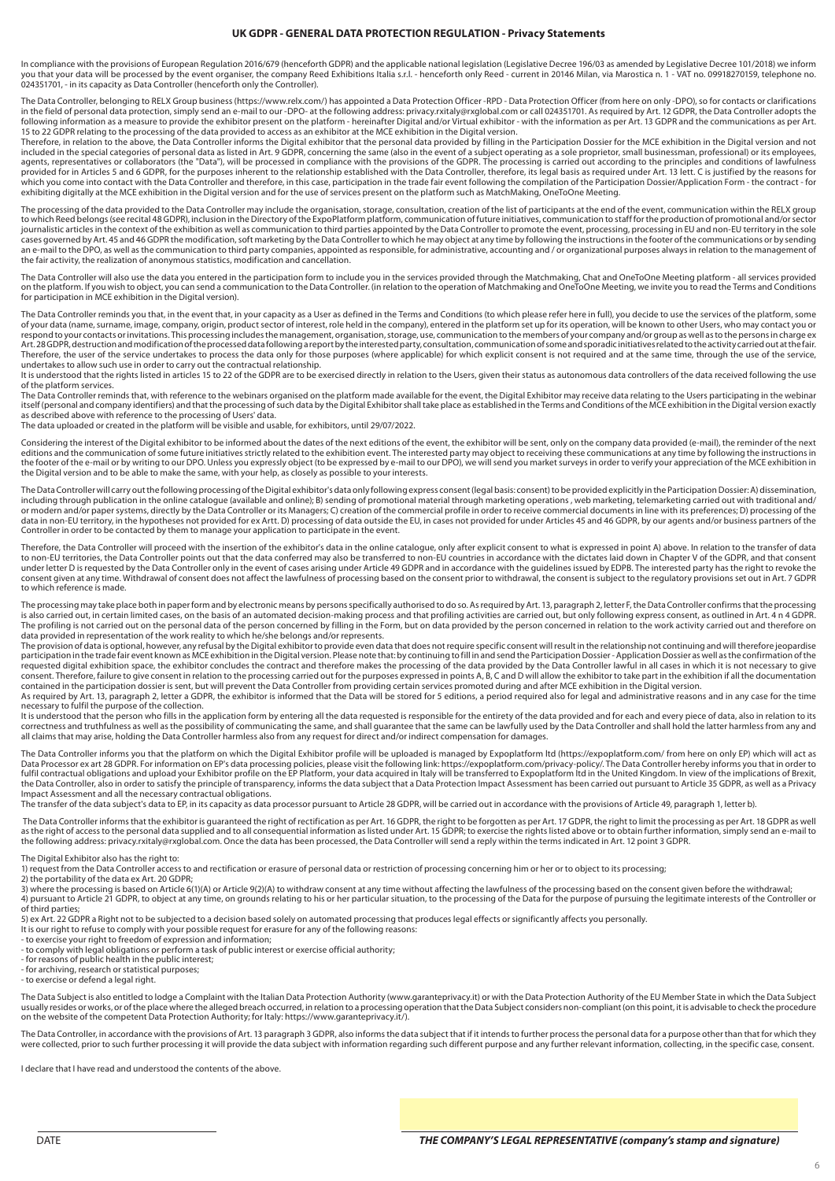#### **UK GDPR - GENERAL DATA PROTECTION REGULATION - Privacy Statements**

In compliance with the provisions of European Regulation 2016/679 (henceforth GDPR) and the applicable national legislation (Legislative Decree 196/03 as amended by Legislative Decree 101/2018) we inform you that your data will be processed by the event organiser, the company Reed Exhibitions Italia s.r.l. - henceforth only Reed - current in 20146 Milan, via Marostica n. 1 - VAT no. 09918270159, telephone no.<br>024351701, -

The Data Controller, belonging to RELX Group business (https://www.relx.com/) has appointed a Data Protection Officer -RPD - Data Protection Officer (from here on only -DPO), so for contacts or clarifications<br>in the field 15 to 22 GDPR relating to the processing of the data provided to access as an exhibitor at the MCE exhibition in the Digital version.

Therefore, in relation to the above, the Data Controller informs the Digital exhibitor that the personal data provided by filling in the Participation Dossier for the MCE exhibition in the Digital version and not included in the special categories of personal data as listed in Art. 9 GDPR, concerning the same (also in the event of a subject operating as a sole proprietor, small businessman, professional) or its employees,<br>agents, r provided for in Articles 5 and 6 GDPR, for the purposes inherent to the relationship established with the Data Controller, therefore, its legal basis as required under Art. 13 lett. C is justified by the reasons for<br>which exhibiting digitally at the MCE exhibition in the Digital version and for the use of services present on the platform such as MatchMaking, OneToOne Meeting.

The processing of the data provided to the Data Controller may include the organisation, storage, consultation, creation of the list of participants at the end of the event, communication within the RELX group to which Reed belongs (see recital 48 GDPR), inclusion in the Directory of the ExpoPlatform platform, communication of future initiatives, communication to staff for the production of promotional and/or sector<br>journalistic cases governed by Art. 45 and 46 GDPR the modification, soft marketing by the Data Controller to which he may object at any time by following the instructions in the footer of the communications or by sending an e-mail to the DPO, as well as the communication to third party companies, appointed as responsible, for administrative, accounting and / or organizational purposes always in relation to the management of<br>the fair activi

The Data Controller will also use the data you entered in the participation form to include you in the services provided through the Matchmaking, Chat and OneToOne Meeting platform - all services provided<br>on the platform. for participation in MCE exhibition in the Digital version).

The Data Controller reminds you that, in the event that, in your capacity as a User as defined in the Terms and Conditions (to which please refer here in full), you decide to use the services of the platform, some of your data (name, surname, image, company, origin, product sector of interest, role held in the company), entered in the platform set up for its operation, will be known to other Users, who may contact you or<br>respond to Art.28GDPR,destructionandmodificationof the processed data following a report by the interested party, consultation, communication of some and sporadic initiatives related to the activity carried out at the fair.<br>Therefore undertakes to allow such use in order to carry out the contractual relationship.

It is understood that the rights listed in articles 15 to 22 of the GDPR are to be exercised directly in relation to the Users, given their status as autonomous data controllers of the data received following the use of the platform services.

The Data Controller reminds that, with reference to the webinars organised on the platform made available for the event, the Digital Exhibitor may receive data relating to the Users participating in the webinar<br>itself (per as described above with reference to the processing of Users' data.

The data uploaded or created in the platform will be visible and usable, for exhibitors, until 29/07/2022.

Considering the interest of the Digital exhibitor to be informed about the dates of the next editions of the event, the exhibitor will be sent, only on the company data provided (e-mail), the reminder of the next editions and the communication of some future initiatives strictly related to the exhibition event. The interested party may object to receiving these communications at any time by following the instructions in the footer of the e-mail or by writing to our DPO. Unless you expressly object (to be expressed by e-mail to our DPO), we will send you market surveys in order to verify your appreciation of the MCE exhibition in<br>the Digit

The Data Controller will carry out the following processing of the Digital exhibitor's data only following express consent (legal basis: consent) to be provided explicitly in the Participation Dossier: A) dissemination, including through publication in the online catalogue (available and online); B) sending of promotional material through marketing operations , web marketing, telemarketing carried out with traditional and/ or modern and/or paper systems, directly by the Data Controller or its Managers; C) creation of the commercial profile in order to receive commercial documents in line with its preferences; D) processing of the<br>data in non Controller in order to be contacted by them to manage your application to participate in the event.

Therefore, the Data Controller will proceed with the insertion of the exhibitor's data in the online catalogue, only after explicit consent to what is expressed in point A) above. In relation to the transfer of data to non-EU territories, the Data Controller points out that the data conferred may also be transferred to non-EU countries in accordance with the dictates laid down in Chapter V of the GDPR, and that consent<br>under letter D consent given at any time. Withdrawal of consent does not affect the lawfulness of processing based on the consent prior to withdrawal, the consent is subject to the regulatory provisions set out in Art. 7 GDPR to which reference is made.

The processing may take place both in paper form and by electronic means by persons specifically authorised to do so. As required by Art. 13, paragraph 2, letter F, the Data Controller confirms that the processing<br>is also The profiling is not carried out on the personal data of the person concerned by filling in the Form, but on data provided by the person concerned in relation to the work activity carried out and therefore on data provided in representation of the work reality to which he/she belongs and/or represents.

The provision of data is optional, however, any refusal by the Digital exhibitor to provide even data that does not require specific consent will result in the relationship not continuing and will therefore jeopardise participation in the trade fair event known as MCE exhibition in the Digital version. Please note that: by continuing to fill in and send the Participation Dossier - Application Dossier as well as the confirmation of the<br>r consent. Therefore, failure to give consent in relation to the processing carried out for the purposes expressed in points A, B, C and D will allow the exhibitor to take part in the exhibition if all the documentation<br>cont As required by Art. 13, paragraph 2, letter a GDPR, the exhibitor is informed that the Data will be stored for 5 editions, a period required also for legal and administrative reasons and in any case for the time

necessary to fulfil the purpose of the collection.<br>It is understood that the person who fills in the application form by entering all the data requested is responsible for the entirety of the data provided and for each and correctness and truthfulness as well as the possibility of communicating the same, and shall guarantee that the same can be lawfully used by the Data Controller and shall hold the latter harmless from any and<br>all claims th

The Data Controller informs you that the platform on which the Digital Exhibitor profile will be uploaded is managed by Expoplatform Itd (https://expoplatform.com/ from here on only EP) which will act as<br>Data Processor ex Impact Assessment and all the necessary contractual obligations.

The transfer of the data subject's data to EP, in its capacity as data processor pursuant to Article 28 GDPR, will be carried out in accordance with the provisions of Article 49, paragraph 1, letter b).

The Data Controller informs that the exhibitor is guaranteed the right of rectification as per Art. 16 GDPR, the right to be forgotten as per Art. 17 GDPR, the right to limit the processing as per Art. 18 GDPR as well<br>as t the following address: privacy.rxitaly@rxglobal.com. Once the data has been processed, the Data Controller will send a reply within the terms indicated in Art. 12 point 3 GDPR.

The Digital Exhibitor also has the right to:

1) request from the Data Controller access to and rectification or erasure of personal data or restriction of processing concerning him or her or to object to its processing; 2) the portability of the data ex Art. 20 GDPR;

3) where the processing is based on Article 6(1)(A) or Article 9(2)(A) to withdraw consent at any time without affecting the lawfulness of the processing based on the consent given before the withdrawal; 4) pursuant to Article 21 GDPR, to object at any time, on grounds relating to his or her particular situation, to the processing of the Data for the purpose of pursuing the legitimate interests of the Controller or of third parties;

5) ex Art. 22 GDPR a Right not to be subjected to a decision based solely on automated processing that produces legal effects or significantly affects you personally.

It is our right to refuse to comply with your possible request for erasure for any of the following reasons:

- to exercise your right to freedom of expression and information; - to comply with legal obligations or perform a task of public interest or exercise official authority;

- for reasons of public health in the public interest; - for archiving, research or statistical purposes;

- to exercise or defend a legal right.

The Data Subject is also entitled to lodge a Complaint with the Italian Data Protection Authority (www.garanteprivacy.it) or with the Data Protection Authority of the EU Member State in which the Data Subject usually resides or works, or of the place where the alleged breach occurred, in relation to a processing operation that the Data Subject considers non-compliant (on this point, it is advisable to check the procedure on the website of the competent Data Protection Authority; for Italy: https://www.garanteprivacy.it/).

The Data Controller, in accordance with the provisions of Art. 13 paragraph 3 GDPR, also informs the data subject that if it intends to further process the personal data for a purpose other than that for which they were collected, prior to such further processing it will provide the data subject with information regarding such different purpose and any further relevant information, collecting, in the specific case, consent.

I declare that I have read and understood the contents of the above.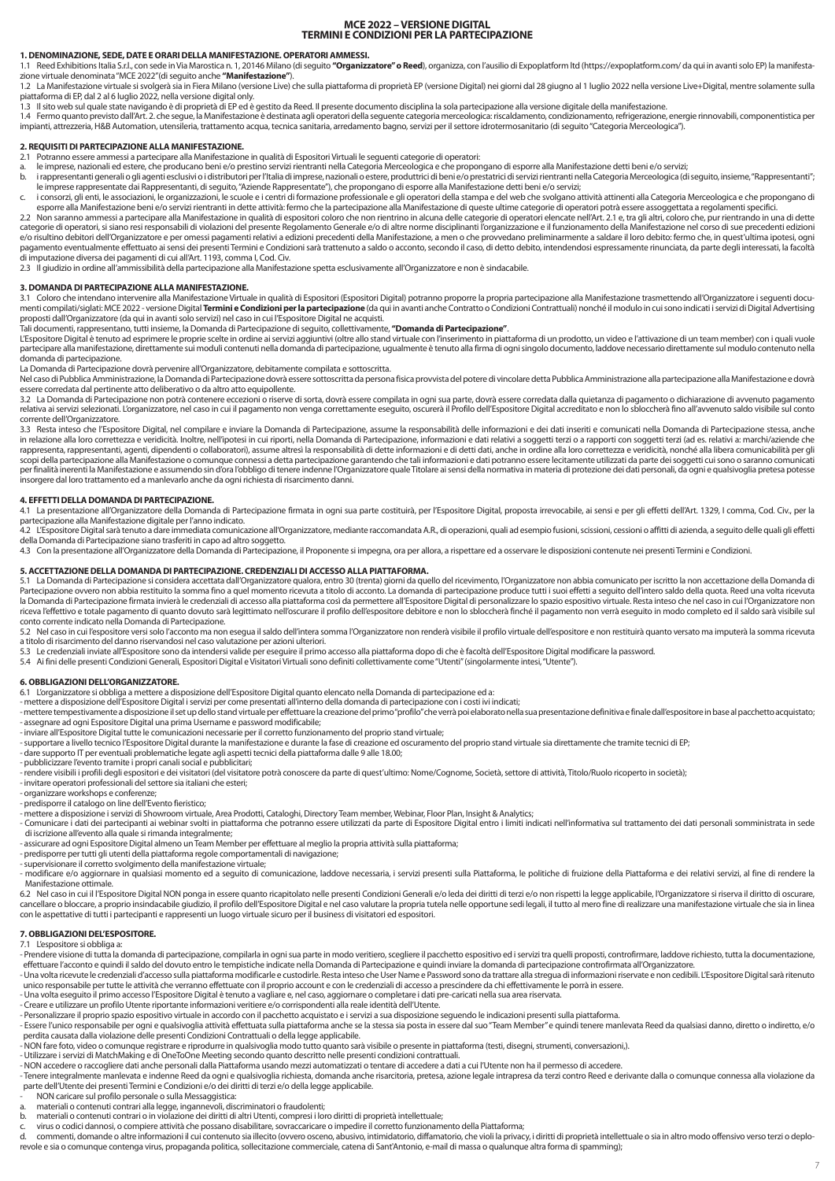## **MCE 2022 – VERSIONE DIGITAL TERMINI E CONDIZIONI PER LA PARTECIPAZIONE**

#### **1. DENOMINAZIONE, SEDE, DATE E ORARI DELLA MANIFESTAZIONE. OPERATORI AMMESSI.**

1.1 Reed Exhibitions Italia S.r.l., con sede in Via Marostica n. 1, 20146 Milano (di seguito **"Organizzatore" o Reed**), organizza, con l'ausilio di Expoplatform Itd (https://expoplatform.com/ da qui in avanti solo EP) la m

1.2 La Manifestazione virtuale si svolgerà sia in Fiera Milano (versione Live) che sulla piattaforma di proprietà EP (versione Digital) nei giorni dal 28 giugno al 1 luglio 2022 nella versione Live+Digital, mentre solament

procumenta di alla state navigando è di proprietà di EP ed è gestito da Reed. Il presente documento disciplina la sola partecipazione alla versione digitale della manifestazione.<br>1.3 Il sito web sul quale state navigando è

1.4 Fermo quanto previsto dall'Art. 2. che segue, la Manifestazione è destinata agli operatori della seguente categoria merceologica: riscaldamento, condizionamento, refrigerazione, energie rinnovabili, componentistica per

## **2. REQUISITI DI PARTECIPAZIONE ALLA MANIFESTAZIONE.**

Potranno essere ammessi a partecipare alla Manifestazione in qualità di Espositori Virtuali le seguenti categorie di operatori:

- a. le imprese, nazionali ed estere, che producano beni e/o prestino servizi rientranti nella Categoria Merceologica e che propongano di esporre alla Manifestazione detti beni e/o servizi;<br>b. i rappresentanti generali
- le imprese rappresentate dai Rappresentanti, di seguito, "Aziende Rappresentate"), che propongano di esporre alla Manifestazione detti beni e/o servizi;<br>c. i consorzi, gli enti, le associazioni, le organizzazioni, le scuol

esporre alla Manifestazione beni e/o servizi rientranti in dette attività: fermo che la partecipazione alla Manifestazione di queste ultime categorie di operatori potrà essere assoggettata a regolamenti specifici.<br>2.2 Non categorie di operatori, si siano resi responsabili di violazioni del presente Regolamento Generale e/o di altre norme disciplinanti l'organizzazione e il funzionamento della Manifestazione nel corso di sue precedenti edizi pagamento eventualmente effettuato ai sensi dei presenti Termini e Condizioni sarà trattenuto a saldo o acconto, secondo il caso, di detto debito, intendendosi espressamente rinunciata, da parte degli interessati, la facol

2.3 Il giudizio in ordine all'ammissibilità della partecipazione alla Manifestazione spetta esclusivamente all'Organizzatore e non è sindacabile.

#### **3. DOMANDA DI PARTECIPAZIONE ALLA MANIFESTAZIONE.**

3.1 Coloro che intendano intervenire alla Manifestazione Virtuale in qualità di Espositori (Espositori Digital) potranno proporre la propria partecipazione alla Manifestazione trasmettendo all'Organizzatore i seguenti docu

proposti dall'Organizzatore (da qui in avanti solo servizi) nel caso in cui l'Espositore Digital ne acquisti.<br>Tali documenti, rappresentano, tutti insieme, la Domanda di Partecipazione di seguito, colletivanente, **"Domanda** partecipare alla manifestazione, direttamente sui moduli contenuti nella domanda di partecipazione, ugualmente è tenuto alla firma di ogni singolo documento, laddove necessario direttamente sul modulo contenuto nella<br>doman

La Domanda di Partecipazione dovrà pervenire all'Organizzatore, debitamente compilata e sottoscritta.<br>Nel caso di Pubblica Amministrazione, la Domanda di Partecipazione dovrà essere sottoscritta da persona fisica provvista essere corredata dal pertinente atto deliberativo o da altro atto equipollente.

3.2 La Domanda di Partecipazione non potrà contenere eccezioni o riserve di sorta, dovrà essere compilata in ogni sua parte, dovrà essere corredata dalla quietanza di pagamento o dichiarazione di avvenuto pagamento pagamen

corrente dell'Organizzatore.<br>3.3 Resta inteso che l'Espositore Digital, nel compilare e inviare la Domanda di Partecipazione, assume la responsabilità delle informazioni e dei dati inseriti e comunicati nella Domanda di Pa in relazione alla loro correttezza e veridicità. Inoltre, nell'ipotesi in cui riporti, nella Domanda di Partecipazione, informazioni e dati relativi a soggetti terzi o a rapporti con soggetti terzi (ad es. relativi a: marc per finalità inerenti la Manifestazione e assumendo sin d'ora l'obbligo di tenere indenne l'Organizzatore quale Titolare ai sensi della normativa in materia di protezione dei dati personali, da ogni e qualsivoglia pretesa insorgere dal loro trattamento ed a manlevarlo anche da ogni richiesta di risarcimento danni.

#### **4. EFFETTI DELLA DOMANDA DI PARTECIPAZIONE.**

4.1 La presentazione all'Organizzatore della Domanda di Partecipazione firmata in ogni sua parte costituirà, per l'Espositore Digital, proposta irrevocabile, ai sensi e per gli effetti dell'Art. 1329, I comma, Cod. Civ., p

4.2 L'Espositore Digital sarà tenuto a dare immediata comunicazione all'Organizzatore, mediante raccomandata A.R., di operazioni, quali ad esempio fusioni, ccissioni, cessioni o affitti di azienda, a seguito delle quali gl della Domanda di Partecipazione siano trasferiti in capo ad altro soggetto.

4.3 Con la presentazione all'Organizzatore della Domanda di Partecipazione, il Proponente si impegna, ora per allora, a rispettare ed a osservare le disposizioni contenute nei presenti Termini e Condizioni.

**5. ACCETTAZIONE DELLA DOMANDA DI PARTECIPAZIONE. CREDENZIALI DI ACCESSO ALLA PIATTAFORMA.**<br>5.1 La Domanda di Partecipazione si considera accettata dall'Organizzatore qualora, entro 30 (trenta) giorni da quello del ricevim Partecipazione ovvero non abbia restituito la somma fino a quel momento ricevuta a titolo di acconto. La domanda di partecipazione produce tutti i suoi effetti a seguito dell'intero saldo della quota. Reed una volta ricevuta la Domanda di Partecipazione firmata invierà le credenziali di accesso alla piattaforma così da permettere all'Espositore Digital di personalizzare lo spazio espositivo virtuale. Resta inteso che nel caso in cui l'Organizz conto corrente indicato nella Domanda di Partecipazione.

5.2 Nel caso in cui l'espositore versi solo l'acconto ma non esequa il saldo dell'intera somma l'Organizzatore non renderà visibile il profilo virtuale dell'espositore e non restituirà quanto versato ma imputerà la somma r a titolo di risarcimento del danno riservandosi nel caso valutazione per azioni ulteriori.

5.3 Le credenziali inviate all'Espositore sono da intendersi valide per eseguire il primo accesso alla piattaforma dopo di che è facoltà dell'Espositore Digital modificare la password.<br>5.4 Ai fini delle presenti Condizioni

#### **6. OBBLIGAZIONI DELL'ORGANIZZATORE.**

6.1 L'organizzatore si obbliga a mettere a disposizione dell'Espositore Digital quanto elencato nella Domanda di partecipazione ed a:

- mettere a disposizione dell'Espositore Digital i servizi per come presentati all'interno della domanda di partecipazione con i costi ivi indicati;<br>- mettere tempestivamente a disposizione il set up dello stand virtuale p

- assegnare ad ogni Espositore Digital una prima Username e password modificabile;<br>- inviare all'Espositore Digital tutte le comunicazioni necessarie pre il corretto funzionamento del proprio stand virtuale;<br>- supportare a

- 
- pubblicizzare l'evento tramite i propri canali social e pubblicitari;

- rendere visibili i profili degli espositori e dei visitatori (del visitatore potrà conoscere da parte di quest'ultimo: Nome/Cognome, Società, settore di attività, Titolo/Ruolo ricoperto in società);

- invitare operatori professionali del settore sia italiani che esteri; - organizzare workshops e conferenze;

- predisporre il catalogo on line dell'Evento fieristico;

- 
- mettere a disposizione i servizi di Showroom virtuale, Area Prodotti, Cataloghi, Directory Team member, Webinar, Floor Plan, Insight & Analytics;<br>- Comunicare i dati dei partecipanti ai webinar svolti in piattaforma che

di iscrizione all'evento alla quale si rimanda integralmente; - assicurare ad ogni Espositore Digital almeno un Team Member per effettuare al meglio la propria attività sulla piattaforma;

- predisporre per tutti gli utenti della piattaforma regole comportamentali di navigazione;
- supervisionare il corretto svolgimento della manifestazione virtuale;
- modificare e/o aggiornare in qualsiasi momento ed a seguito di comunicazione, laddove necessaria, i servizi presenti sulla Piattaforma, le politiche di fruizione della Piattaforma e dei relativi servizi, al fine di rendere Manifestazione ottimale.

6.2 Nel caso in cui il l'Espositore Digital NON ponga in essere quanto ricapitolato nelle presenti Condizioni Generali e/o leda dei diritti di terzi e/o non rispetti la legge applicabile, l'Organizzatore si riserva il diri cancellare o bloccare, a proprio insindacabile giudizio, il profilo dell'Espositore Digital e nel caso valutare la propria tutela nelle opportune sedi legali, il tutto al mero fine di realizzare una manifestazione virtuale

#### **7. OBBLIGAZIONI DEL'ESPOSITORE.**

7.1 L'espositore si obbliga a:

- Prendere visione di tutta la domanda di partecipazione, compilarla in ogni sua parte in modo veritiero, scegliere il pacchetto espositivo ed i servizi tra quelli proposti, controfirmare, laddove richiesto, tutta la docum

- Una volta ricevute le credenziali d'accesso sulla piattaforma modificarle e custodirle. Resta inteso che User Name e Password sono da trattare alla stregua di informazioni riservate e non cedibili. L'Espositore Digital s

- Essere l'unico responsabile per ogni e qualsivoglia attività effettuata sulla piattaforma anche se la stessa sia posta in essere dal suo "Team Member" e quindi tenere manlevata Reed da qualsiasi danno, diretto o indirett

- 
- 

- NON accedere o raccogliere dati anche personali dalla Piattaforma usando mezzi automatizzati o tentare di accedere a dati a cui l'Utente non ha il permesso di accedere.<br>- Tenere integralmente manlevata e indenne Reed da

- 
- NON caricare sul profilo personale o sulla Messaggistica:<br>a. materiali o contenuti contrari alla legge, ingannevoli, discriminatori o fraudolenti;<br>b. materiali o contenuti contrari o in violazione dei dirit
- 
- c. virus o codici dannosi, o compiere attività che possano disabilitare, sovraccaricare o impedire il corretto funzionamento della Piattaforma;

d. commenti, domande o altre informazioni il cui contenuto sia illecito (ovvero osceno, abusivo, intimidatorio, diffamatorio, che violi la privacy, i diritti di proprietà intellettuale o sia in altro modo offensivo verso t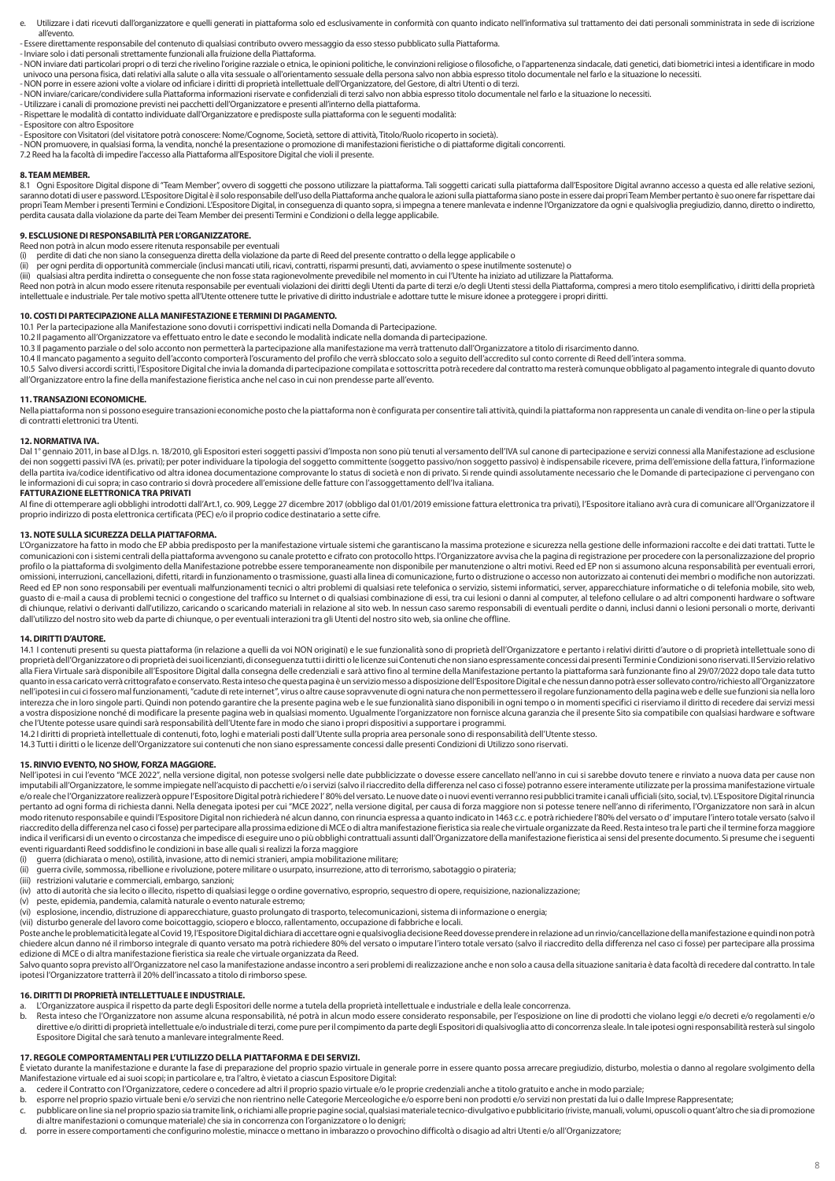- e. Utilizzare i dati ricevuti dall'organizzatore e quelli generati in piattaforma solo ed esclusivamente in conformità con quanto indicato nell'informativa sul trattamento dei dati personali somministrata in sede di iscriz all'evento.
- Essere direttamente responsabile del contenuto di qualsiasi contributo ovvero messaggio da esso stesso pubblicato sulla Piattaforma.

- Inviare solo i dati personali strettamente funzionali alla fruizione della Piattaforma.

- no a concernato di territoriale di territoriale di territoriale di concernato concernato concernato di territoriale di territoriale di territoriale razziale o etnica, le opinioni politiche, le convinzioni religiose o filos univoco una persona fisica, dati relativi alla salute o alla vita sessuale o all'orientamento sessuale della persona salvo non abbia espresso titolo documentale nel farlo e la situazione lo necessiti.<br>- NON porre in essere
- NON inviare/caricare/condividere sulla Piattaforma informazioni riservate e confidenziali di terzi salvo non abbia espresso titolo documentale nel farlo e la situazione lo necessiti.
- Utilizzare i canali di promozione previsti nei pacchetti dell'Organizzatore e presenti all'interno della piattaforma.
- Rispettare le modalità di contatto individuate dall'Organizzatore e predisposte sulla piattaforma con le seguenti modalità:
- Espositore con altro Espositore
- Espositore con Visitatori (del visitatore potrà conoscere: Nome/Cognome, Società, settore di attività, Titolo/Ruolo ricoperto in società).
- NON promuovere, in qualsiasi forma, la vendita, nonché la presentazione o promozione di manifestazioni fieristiche o di piattaforme digitali concorrenti.
- 7.2 Reed ha la facoltà di impedire l'accesso alla Piattaforma all'Espositore Digital che violi il presente.

#### **8. TEAM MEMBER.**

8.1 Ogni Espositore Digital dispone di "Team Member", ovvero di soggetti che possono utilizzare la piattaforma. Tali soggetti caricati sulla piattaforma dall'Espositore Digital avranno accesso a questa ed alle relative sez saranno dotati di usere password. L'Espositore Digital è il solo responsabile dell'uso della Piattaforma anche qualora le azioni sulla piattaforma siano poste in essere dai propri Team Member pertanto è suo onere far rispe perdita causata dalla violazione da parte dei Team Member dei presenti Termini e Condizioni o della legge applicabile.

#### **9. ESCLUSIONE DI RESPONSABILITÀ PER L'ORGANIZZATORE.**

- Reed non potrà in alcun modo essere ritenuta responsabile per eventuali<br>(i) perdite di dati che non siano la conseguenza diretta della violazione da parte di Reed del presente contratto o della legge applicabile o
- (ii) γer ogni perdita di opportunità commerciale (inclusi mancati utili, ricavi, contratti, risparmi presunti, dati, avviamento o spese inutilmente sostenute) o<br>(iii) qualsiasi altra perdita indiretta o conseguente che non
- 
- Reed non potrà in alcun modo essere ritenuta responsabile per eventuali violazioni dei diritti degli Utenti da parte di terzi e/o degli Utenti stessi della Piattaforma, compresi a mero titolo esemplificativo, i diritti del intellettuale e industriale. Per tale motivo spetta all'Utente ottenere tutte le privative di diritto industriale e adottare tutte le misure idonee a proteggere i propri diritti.

#### **10. COSTI DI PARTECIPAZIONE ALLA MANIFESTAZIONE E TERMINI DI PAGAMENTO.**

- 10.1 Per la partecipazione alla Manifestazione sono dovuti i corrispettivi indicati nella Domanda di Partecipazione.
- 10.2 Il pagamento all'Organizzatore va effettuato entro le date e secondo le modalità indicate nella domanda di partecipazione.
- 10.3 Il pagamento parziale o del solo acconto non permetterà la partecipazione alla manifestazione ma verrà trattenuto dall'Organizzatore a titolo di risarcimento danno.<br>10.4 Il mancato pagamento a seguito dell'acconto com
- 
- 10.5 Salvo diversi accordi scritti, l'Espositore Digital che invia la domanda di partecipazione compilata e sottoscritta potrà recedere dal contratto ma resterà comunque obbligato al pagamento integrale di quanto dovuto all'Organizzatore entro la fine della manifestazione fieristica anche nel caso in cui non prendesse parte all'evento.

#### **11. TRANSAZIONI ECONOMICHE.**

Nella piattaforma non si possono eseguire transazioni economiche posto che la piattaforma non è configurata per consentire tali attività, quindi la piattaforma non rappresenta un canale di vendita on-line o per la stipula di contratti elettronici tra Utenti.

#### **12. NORMATIVA IVA.**

Dal 1° gennaio 2011, in base al D.lgs. n. 18/2010, gli Espositori esteri soggetti passivi d'Imposta non sono più tenuti al versamento dell'IVA sul canone di partecipazione e servizi connessi alla Manifestazione ad esclusio le informazioni di cui sopra; in caso contrario si dovrà procedere all'emissione delle fatture con l'assoggettamento dell'Iva italiana.

#### **FATTURAZIONE ELETTRONICA TRA PRIVATI**

n a compartion and the set of the set of the set of the distribution in the set of the set of the 2017 (obbligo dal 01/01/2019 emissione fattura elettronica tra privati), l'Espositore italiano avrà cura di comunicare all'O proprio indirizzo di posta elettronica certificata (PEC) e/o il proprio codice destinatario a sette cifre.

#### **13. NOTE SULLA SICUREZZA DELLA PIATTAFORMA.**

L'Organizzatore ha fatto in modo che EP abbia predisposto per la manifestazione virtuale sistemi che garantiscano la massima protezione e sicurezza nella gestione delle informazioni raccolte e dei dati trattati. Tutte le<br>c profilo o la piattaforma di svolgimento della Manifestazione potrebbe essere temporaneamente non disponibile per manutenzione o altri motivi. Reed ed EP non si assumono alcuna responsabilità per eventuali errori, omissioni, interruzioni, cancellazioni, difetti, ritardi in funzionamento o trasmissione, guasti alla linea di comunicazione, furto o distruzione o accesso non autorizzato ai contenuti dei membri o modifiche non autorizzat guasto di e-mail a causa di problemi tecnici o congestione del traffico su Internet o di qualsiasi combinazione di essi, tra cui lesioni o danni al computer, al telefono cellulare o ad altri componenti hardware o software di chiunque, relativi o derivanti dall'utilizzo, caricando o scaricando materiali in relazione al sito web. In nessun caso saremo responsabili di eventuali perdite o danni, inclusi danni o lesioni personali o morte, deriva dall'utilizzo del nostro sito web da parte di chiunque, o per eventuali interazioni tra gli Utenti del nostro sito web, sia online che offline.

#### **14. DIRITTI D'AUTORE.**

14.1 I contenuti presenti su questa piattaforma (in relazione a quelli da voi NON originati) e le sue funzionalità sono di proprietà dell'Organizzatore e pertanto i relativi diritti d'autore o di proprietà intellettuale so proprietà dell'Organizzatore o di proprietà dei suoi licenzianti, di conseguenza tutti i diritti o le licenze sui Contenuti che non siano espressamente concessi dai presenti Termini e Condizioni sono riservati. Il Servizio alla Fiera Virtuale sarà disponibile all'Espositore Digital dalla consegna delle credenziali e sarà attivo fino al termine della Manifestazione pertanto la piattaforma sarà funzionante fino al 29/07/2022 dopo tale data tut quanto in essa caricato verrà crittografato e conservato. Resta inteso che questa pagina è un servizio messo a disposizione dell'Espositore Digital e che nessun danno potrà esser sollevato contro/richiesto all'Organizzatore nell'ipotesi in cui ci fossero mal funzionamenti, "cadute di rete internet", virus o altre cause sopravvenute di ogni natura che non permettessero il regolare funzionamento della pagina web e delle sue funzioni sia nella l interezza che in loro singole parti. Quindi non potendo garantire che la presente pagina web e le sue funzionalità siano disponibili in ogni tempo o in momenti specifici ci riserviamo il diritto di recedere dai servizi messi a vostra disposizione nonché di modificare la presente pagina web in qualsiasi momento. Ugualmente l'organizzatore non fornisce alcuna garanzia che il presente Sito sia compatibile con qualsiasi hardware e software che l'Utente potesse usare quindi sarà responsabilità dell'Utente fare in modo che siano i propri dispositivi a supportare i programmi.

14.2 I diritti di proprietà intellettuale di contenuti, foto, loghi e materiali posti dall'Utente sulla propria area personale sono di responsabilità dell'Utente stesso.<br>14.3 Tutti i diritti o le licenze dell'Organizzatore

#### **15. RINVIO EVENTO, NO SHOW, FORZA MAGGIORE.**

Nell'ipotesi in cui l'evento "MCE 2022", nella versione digital, non potesse svolgersi nelle date pubblicizzate o dovesse essere cancellato nell'anno in cui si sarebbe dovuto tenere e rinviato a nuova data per cause non imputabili all'Organizzatore, le somme impiegate nell'acquisto di pacchetti e/o i servizi (salvo il riaccredito della differenza nel caso ci fosse) potranno essere interamente utilizzate per la prossima manifestazione virt pertanto ad ogni forma di richiesta danni. Nella denegata ipotesi per cui "MCE 2022", nella versione digital, per causa di forza maggiore non si potesse tenere nell'anno di riferimento, l'Organizzatore non sarà in alcun modo ritenuto responsabile e quindi l'Espositore Digital non richiederà né alcun danno, con rinuncia espressa a quanto indicato in 1463 c.c. e potrà richiedere l'80% del versato o d' imputare l'intero totale versato (salvo indica il verificarsi di un evento o circostanza che impedisce di eseguire uno o più obblighi contrattuali assunti dall'Organizzatore della manifestazione fieristica ai sensi del presente documento. Si presume che i seguenti eventi riguardanti Reed soddisfino le condizioni in base alle quali si realizzi la forza maggiore

- 
- (i) guerra (dichiarata o meno), ostilità, invasione, atto di nemici stranieri, ampia mobilitazione militare;<br>(i) guerra (dichiarata o meno), ostilità, invasione, atto di nemici stranieri, ampia mobilitazione militare;<br>(ii) (ii) guerra civile, sommossa, ribellione e rivoluzione, potere militare o usurpato, insurrezione, atto di terrorismo, sabotaggio o pirateria;<br>(iii) restrizioni valutarie e commerciali embargo, sapzioni:
- (iii) restrizioni valutarie e commerciali, embargo, sanzioni;
- (iv) atto di autorità che sia lecito o illecito, rispetto di qualsiasi legge o ordine governativo, esproprio, sequestro di opere, requisizione, nazionalizzazione;<br>(v) anto di autorità che sia lecito o illecito, rispetto di
- (v) peste, epidemia, pandemia, calamità naturale o evento naturale estremo;
- (vi) esplosione, incendio, distruzione di apparecchiature, guasto prolungato di trasporto, telecomunicazioni, sistema di informazione o energia;<br>(vii) disturbo generale del lavoro come boicottaggio, sciopero e blocco, rall
- 

Poste anche le problematicità legate al Covid 19, l'Espositore Digital dichiara di accettare ogni e qualsivoglia decisione Reed dovesse prendere in relazione ad un rinvio/cancellazione della manifestazione e quindi non potrà chiedere alcun danno né il rimborso integrale di quanto versato ma potrà richiedere 80% del versato o imputare l'intero totale versato (salvo il riaccredito della differenza nel caso ci fosse) per partecipare alla prossima edizione di MCE o di altra manifestazione fieristica sia reale che virtuale organizzata da Reed.

Salvo quanto sopra previsto all'Organizzatore nel caso la manifestazione andasse incontro a seri problemi di realizzazione anche e non solo a causa della situazione sanitaria è data facoltà di recedere dal contratto. In tale ipotesi l'Organizzatore tratterrà il 20% dell'incassato a titolo di rimborso spese.

#### **16. DIRITTI DI PROPRIETÀ INTELLETTUALE E INDUSTRIALE.**

- a. L'Organizzatore auspica il rispetto da parte degli Espositori delle norme a tutela della proprietà intellettuale e industriale e della leale concorrenza.
- b. Resta inteso che l'Organizzatore non assume alcuna responsabilità, né potrà in alcun modo essere considerato responsabile, per l'esposizione on line di prodotti che violano leggi e/o decreti e/o regolamenti e/o directive e/o diritti di proprietà intellettuale e/o industriale di terzi, come pure per il compimento da parte degli Espositori di qualsivoglia atto di concorrenza sleale. In tale ipotesi ogni responsabilità resterà sul s Espositore Digital che sarà tenuto a manlevare integralmente Reed.

#### **17. REGOLE COMPORTAMENTALI PER L'UTILIZZO DELLA PIATTAFORMA E DEI SERVIZI.**

- È vietato durante la manifestazione e durante la fase di preparazione del proprio spazio virtuale in generale porre in essere quanto possa arrecare pregiudizio, disturbo, molestia o danno al regolare svolgimento della<br>Mani
- cedere il Contratto con l'Organizzatore, cedere o concedere ad altri il proprio spazio virtuale e/o le proprie credenziali anche a titolo gratuito e anche in modo parziale;
- b. esporre nel proprio spazio virtuale beni e/o servizi che non rientrino nelle Categorie Merceologiche e/o esporre beni non prodotti e/o servizi non prestati da lui o dalle Imprese Rappresentate;
- c. pubblicare on line sia nel proprio spazio sia tramite link, o richiami alle proprie pagine social, qualsiasi materiale tecnico-divulgativo e pubblicitario (riviste, manuali, volumi, opuscoli o quant'altro che sia di pro di altre manifestazioni o comunque materiale) che sia in concorrenza con l'organizzatore o lo denigri;
- d. porre in essere comportamenti che configurino molestie, minacce o mettano in imbarazzo o provochino difficoltà o disagio ad altri Utenti e/o all'Organizzatore;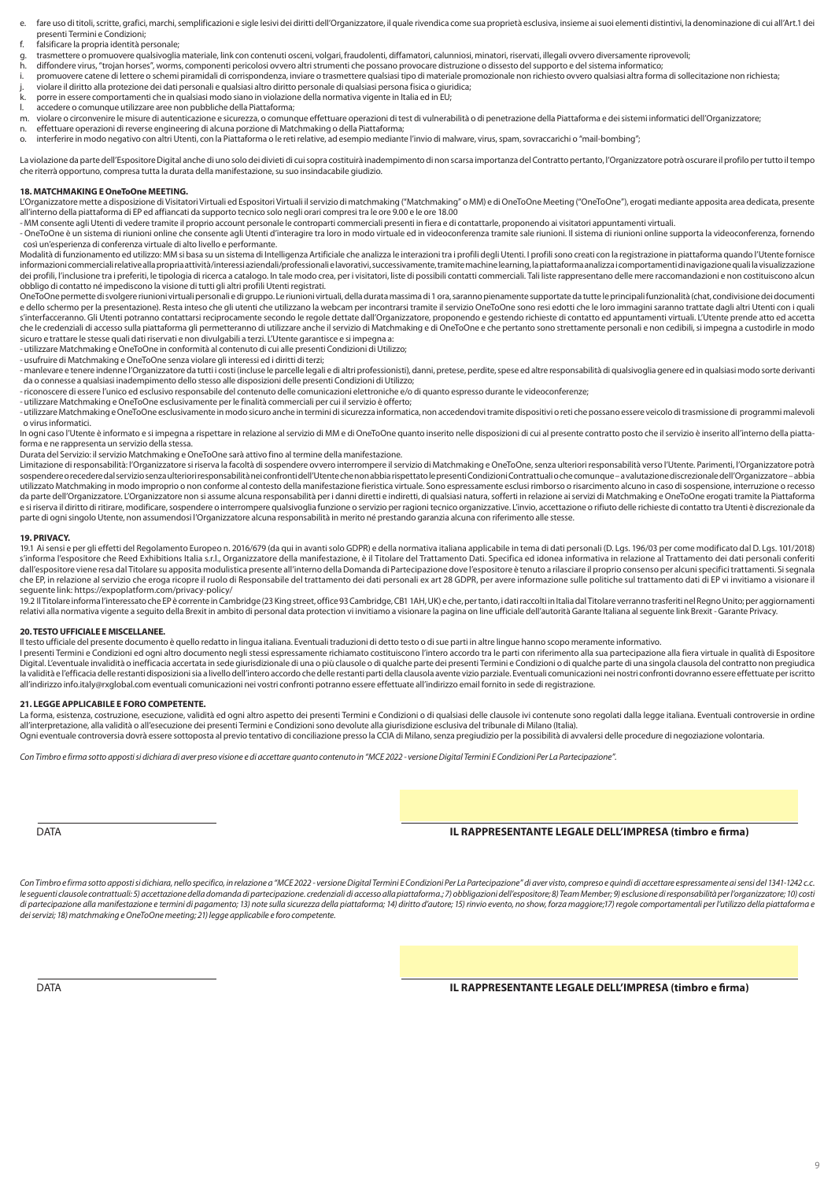- fare uso di titoli, scritte, grafici, marchi, semplificazioni e sigle lesivi dei diritti dell'Organizzatore, il quale rivendica come sua proprietà esclusiva, insieme ai suoi elementi distintivi, la denominazione di cui all presenti Termini e Condizioni;
- f. falsificare la propria identità personale;
- g. trasmettere o promuovere qualsivoglia materiale, link con contenuti osceni, volgari, fraudolenti, diffamatori, calunniosi, minatori, riservati, illegali ovvero diversamente riprovevoli;<br>diffondere virus "troian borses"
- h. diffondere virus, "trojan horses", worms, componenti pericolosi ovvero altri strumenti che possano provocare distruzione o dissesto del supporto e del sistema informatico;
- i. promuovere catene di lettere o schemi piramidali di corrispondenza, inviare o trasmettere qualsiasi tipo di materiale promozionale non richiesto ovvero qualsiasi altra forma di sollecitazione non richiesta;
- j. violare il diritto alla protezione dei dati personali e qualsiasi altro diritto personale di qualsiasi persona fisica o giuridica;
- k. porre in essere comportamenti che in qualsiasi modo siano in violazione della normativa vigente in Italia ed in EU; l. accedere o comunque utilizzare aree non pubbliche della Piattaforma;
- 
- m. violare o circonvenire le misure di autenticazione e sicurezza, o comunque effettuare operazioni di test di vulnerabilità o di penetrazione della Piattaforma e dei sistemi informatici dell'Organizzatore;<br>n. effettuare o
- n. effettuare operazioni di reverse engineering di alcuna porzione di Matchmaking o della Piattaforma; o. interferire in modo negativo con altri Utenti, con la Piattaforma o le reti relative, ad esempio mediante l'invio di malware, virus, spam, sovraccarichi o "mail-bombing";

La violazione da parte dell'Espositore Digital anche di uno solo dei divieti di cui sopra costituirà inadempimento di non scarsa importanza del Contratto pertanto, l'Organizzatore potrà oscurare il profilo per tutto il tempo che riterrà opportuno, compresa tutta la durata della manifestazione, su suo insindacabile giudizio.

#### **18. MATCHMAKING E OneToOne MEETING.**

L'Organizzatore mette a disposizione di Visitatori Virtuali ed Espositori Virtuali il servizio di matchmaking ("Matchmaking" o MM) e di OneToOne Meeting ("OneToOne"), erogati mediante apposita area dedicata, presente all'interno della piattaforma di EP ed affiancati da supporto tecnico solo negli orari compresi tra le ore 9.00 e le ore 18.00

- MM consente agli Utenti di vedere tramite il proprio account personale le controparti commerciali presenti in fiera e di contattarle, proponendo ai visitatori appuntamenti virtuali.

- OneToOne è un sistema di riunioni online che consente agli Utenti d'interagire tra loro in modo virtuale ed in videoconferenza tramite sale riunioni. Il sistema di riunioni online supporta la videoconferenza, fornendo così un'esperienza di conferenza virtuale di alto livello e performante.

Modalità di funzionamento ed utilizzo: MM si basa su un sistema di Intelligenza Artificiale che analizza le interazioni tra i profili degli Utenti. I profili sono creati con la registrazione in piattaforma quando l'Utente informazioni commerciali relative alla propria attività/interessi aziendali/professionali e lavorativi, successivamente, tramite machine learning, la piattaforma analizza i comportamenti di navigazione quali la visualizzaz dei profili, l'inclusione tra i preferiti, le tipologia di ricerca a catalogo. In tale modo crea, per i visitatori, liste di possibili contatti commerciali. Tali liste rappresentano delle mere raccomandazioni e non costitu obbligo di contatto né impediscono la visione di tutti gli altri profili Utenti registrati.

OneToOne permette di svolgere riunioni virtuali personali e di gruppo. Le riunioni virtuali, della durata massima di 1 ora, saranno pienamente supportate da tutte le principali funzionalità (chat, condivisione dei documenti e dello schermo per la presentazione). Resta inteso che gli utenti che utilizzano la webcam per incontrarsi tramite il servizio OneToOne sono resi edotti che le loro immagini saranno trattate dagli altri Utenti con i quali s'interfacceranno. Gli Utenti potranno contattarsi reciprocamente secondo le regole dettate dall'Organizzatore, proponendo e gestendo richieste di contatto ed appuntamenti virtuali. L'Utente prende atto ed accetta che le credenziali di accesso sulla piattaforma gli permetteranno di utilizzare anche il servizio di Matchmaking e di OneToOne e che pertanto sono strettamente personali e non cedibili, si impegna a custodirle in modo sicuro e trattare le stesse quali dati riservati e non divulgabili a terzi. L'Utente garantisce e si impegna a:

- utilizzare Matchmaking e OneToOne in conformità al contenuto di cui alle presenti Condizioni di Utilizzo;

- usufruire di Matchmaking e OneToOne senza violare gli interessi ed i diritti di terzi;

- manlevare e tenere indenne l'Organizzatore da tutti i costi (incluse le parcelle legali e di altri professionisti), danni, pretese, perdite, spese ed altre responsabilità di qualsivoglia genere ed in qualsiasi modo sorte da o connesse a qualsiasi inadempimento dello stesso alle disposizioni delle presenti Condizioni di Utilizzo;

- riconoscere di essere l'unico ed esclusivo responsabile del contenuto delle comunicazioni elettroniche e/o di quanto espresso durante le videoconferenze;

- utilizzare Matchmaking e OneToOne esclusivamente per le finalità commerciali per cui il servizio è offerto;

- utilizzare Matchmaking e OneToOne esclusivamente in modo sicuro anche in termini di sicurezza informatica, non accedendovi tramite dispositivi o reti che possano essere veicolo di trasmissione di programmi malevoli

 o virus informatici. In ogni caso l'Utente è informato e si impegna a rispettare in relazione al servizio di MM e di OneToOne quanto inserito nelle disposizioni di cui al presente contratto posto che il servizio è inserito all'interno della pi forma e ne rappresenta un servizio della stessa.

Durata del Servizio: il servizio Matchmaking e OneToOne sarà attivo fino al termine della manifestazione.

Limitazione di responsabilità: l'Organizzatore si riserva la facoltà di sospendere ovvero interrompere il servizio di Matchmaking e OneToOne, senza ulteriori responsabilità verso l'Utente. Parimenti, l'Organizzatore potrà sospendere o recedere dal servizio senza ulteriori responsabilità nei confronti dell'Utente che non abbia rispettato le presenti Condizioni Contrattuali o che comunque – a valutazione discrezionale dell'Organizzatore – abbia utilizzato Matchmaking in modo improprio o non conforme al contesto della manifestazione fieristica virtuale. Sono espressamente esclusi rimborso o risarcimento alcuno in caso di sospensione, interruzione o recesso da parte dell'Organizzatore. L'Organizzatore non si assume alcuna responsabilità per i danni diretti e indiretti, di qualsiasi natura, sofferti in relazione ai servizi di Matchmaking e OneToOne erogati tramite la Piattaforma e si riserva il diritto di ritirare, modificare, sospendere o interrompere qualsivoglia funzione o servizio per ragioni tecnico organizzative. L'invio, accettazione o rifiuto delle richieste di contatto tra Utenti è discre parte di ogni singolo Utente, non assumendosi l'Organizzatore alcuna responsabilità in merito né prestando garanzia alcuna con riferimento alle stesse.

#### **19. PRIVACY.**

19.1 Ai sensi e per gli effetti del Regolamento Europeo n. 2016/679 (da qui in avanti solo GDPR) e della normativa italiana applicabile in tema di dati personali (D. Lgs. 196/03 per come modificato dal D. Lgs. 101/2018) s'informa l'espositore che Reed Exhibitions Italia s.r.l., Organizzatore della manifestazione, è il Titolare del Trattamento Dati. Specifica ed idonea informativa in relazione al Trattamento dei dati personali conferiti dall'espositore viene resa dal Titolare su apposita modulistica presente all'interno della Domanda di Partecipazione dove l'espositore è tenuto a rilasciare il proprio consenso per alcuni specifici trattamenti. Si segnala che EP, in relazione al servizio che eroga ricopre il ruolo di Responsabile del trattamento dei dati personali ex art 28 GDPR, per avere informazione sulle politiche sul trattamento dati di EP vi invitiamo a visionare il seguente link: https://expoplatform.com/privacy-policy/

19.2 Il Titolare informa l'interessato che EP è corrente in Cambridge (23 King street, office 93 Cambridge, CB1 1AH, UK) e che, per tanto, i dati raccolti in Italia dal Titolare verranno trasferiti nel Regno Unito; per agg

#### **20. TESTO UFFICIALE E MISCELLANEE.**

Il testo ufficiale del presente documento è quello redatto in lingua italiana. Eventuali traduzioni di detto testo o di sue parti in altre lingue hanno scopo meramente informativo.

I presenti Termini e Condizioni ed ogni altro documento negli stessi espressamente richiamato costituiscono l'intero accordo tra le parti con riferimento alla sua partecipazione alla fiera virtuale in qualità di Espositore Digital. L'eventuale invalidità o inefficacia accertata in sede giurisdizionale di una o più clausole o di qualche parte dei presenti Termini e Condizioni o di qualche parte di una singola clausola del contratto non pregiu all'indirizzo info.italy@rxglobal.com eventuali comunicazioni nei vostri confronti potranno essere effettuate all'indirizzo email fornito in sede di registrazione.

#### **21. LEGGE APPLICABILE E FORO COMPETENTE.**

La forma, esistenza, costruzione, esecuzione, validità ed ogni altro aspetto dei presenti Termini e Condizioni o di qualsiasi delle clausole ivi contenute sono regolati dalla legge italiana. Eventuali controversie in ordin all'interpretazione, alla validità o all'esecuzione dei presenti Termini e Condizioni sono devolute alla giurisdizione esclusiva del tribunale di Milano (Italia).

Ogni eventuale controversia dovrà essere sottoposta al previo tentativo di conciliazione presso la CCIA di Milano, senza pregiudizio per la possibilità di avvalersi delle procedure di negoziazione volontaria.

*Con Timbro e firma sotto apposti si dichiara di aver preso visione e di accettare quanto contenuto in "MCE 2022 - versione Digital Termini E Condizioni Per La Partecipazione".*

#### DATA **IL RAPPRESENTANTE LEGALE DELL'IMPRESA (timbro e firma)**

Con Timbro e firma sotto apposti si dichiara, nello specifico, in relazione a "MCE 2022 - versione Digital Termini E Condizioni Per La Partecipazione" di aver visto, compreso e quindi di accettare espressamente ai sensi de le seguenti clausole contrattuali: 5) accettazione della domanda di partecipazione. credenziali di accesso alla piattaforma; 7) obbligazioni dell'espositore; 8) Team Member; 9) esclusione di responsabilità per l'organizzat di partecipazione alla manifestazione e termini di pagamento; 13) note sulla sicurezza della piattaforma; 14) diritto d'autore; 15) rinvio evento, no show, forza maggiore; 17) regole comportamentali per l'utilizzo della pi *dei servizi; 18) matchmaking e OneToOne meeting; 21) legge applicabile e foro competente.*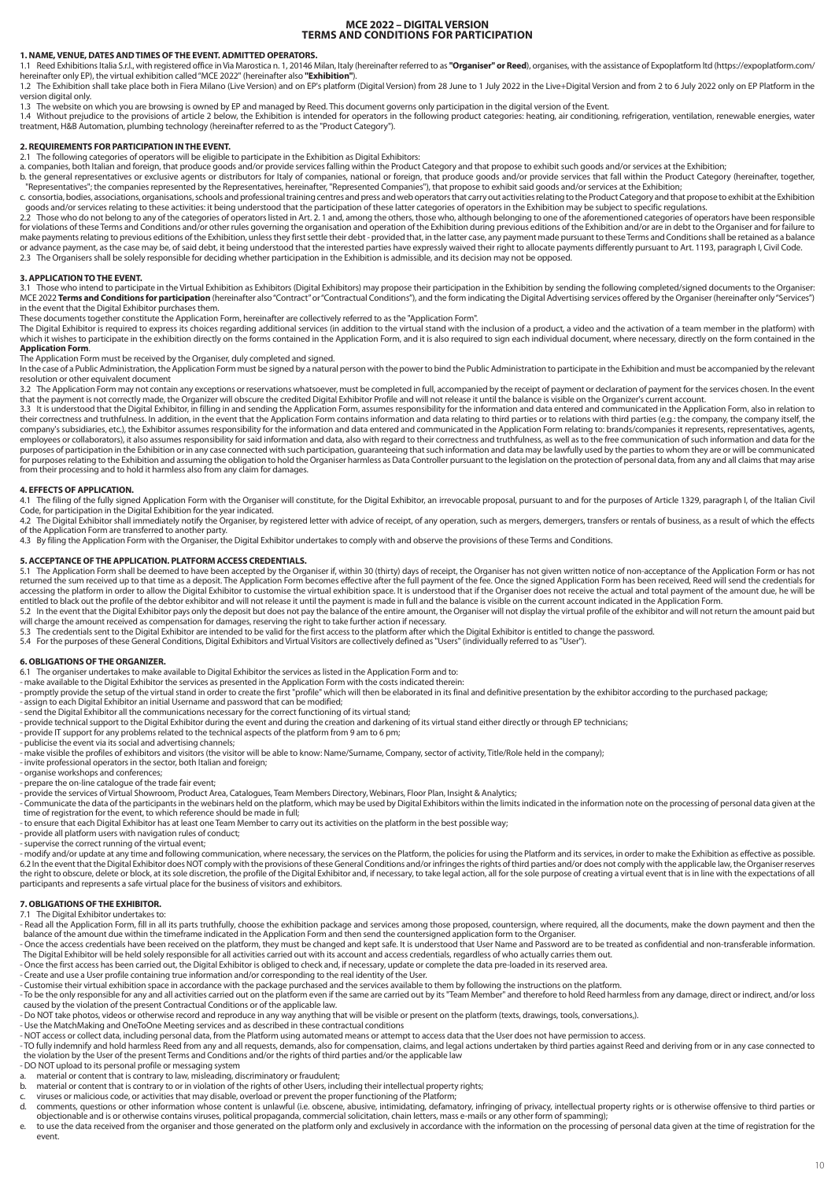## **MCE 2022 – DIGITAL VERSION TERMS AND CONDITIONS FOR PARTICIPATION**

#### **1. NAME, VENUE, DATES AND TIMES OF THE EVENT. ADMITTED OPERATORS.**

1.1 Reed Exhibitions Italia S.r.l., with registered office in Via Marostica n. 1, 20146 Milan, Italy (hereinafter referred to as **"Organiser" or Reed**), organises, with the assistance of Expoplatform Itd (https://expoplatf

1.2 The Exhibition shall take place both in Fiera Milano (Live Version) and on EP's platform (Digital Version) from 28 June to 1 July 2022 in the Live+Digital Version and from 2 to 6 July 2022 only on EP Platform in the version digital only.

1.3 The website on which you are browsing is owned by EP and managed by Reed. This document governs only participation in the digital version of the Event.

1.4 Without prejudice to the provisions of article 2 below, the Exhibition is intended for operators in the following product categories: heating, air conditioning, refrigeration, ventilation, renewable energies, water<br>tre

#### **2. REQUIREMENTS FOR PARTICIPATION IN THE EVENT.**

2.1 The following categories of operators will be eligible to participate in the Exhibition as Digital Exhibitors:

a. companies, both Italian and foreign, that produce goods and/or provide services falling within the Product Category and that propose to exhibit such goods and/or services at the Exhibition;<br>b. the general representative

"Representatives"; the companies represented by the Representatives, hereinafter, "Represented Companies"), that propose to exhibit said goods and/or services at the Exhibition;<br>c. consortia, bodies, associations, organisa

goods and/or services relating to these activities: it being understood that the participation of these latter categories of operators in the Exhibition may be subject to specific regulations.<br>2.2 Those who do not belong t

#### **3. APPLICATION TO THE EVENT.**

3.1 Those who intend to participate in the Virtual Exhibition as Exhibitors (Digital Exhibitors) may propose their participation in the Exhibition by sending the following completed/signed documents to the Organiser: MCE 2022 Terms and Conditions for participation (hereinafter also "Contract" or "Contractual Conditions"), and the form indicating the Digital Advertising services offered by the Organiser (hereinafter only "Services") in the event that the Digital Exhibitor purchases them.

These documents together constitute the Application Form, hereinafter are collectively referred to as the "Application Form".<br>The Digital Exhibitor is required to express its choices regarding additional services (in addit **Application Form**.

The Application Form must be received by the Organiser, duly completed and signed.

In the case of a Public Administration, the Application Form must be signed by a natural person with the power to bind the Public Administration to participate in the Exhibition and must be accompanied by the relevant<br>reso

3.2 The Application Form may not contain any exceptions or reservations whatsoever, must be completed in full, accompanied by the receipt of payment or declaration of payment for the services chosen. In the event that the payment is not correctly made, the Organizer will obscure the credited Digital Exhibitor Profile and will not release it until the balance is visible on the Organizer's current account.<br>3.3 It is understood that t

their correctness and truthfulness. In addition, in the event that the Application Form contains information and data relating to third parties or to relations with third parties (e.g.: the company, the company itself, the employees or collaborators), it also assumes responsibility for said information and data, also with regard to their correctness and truthfulness, as well as to the free communication of such information and data for the<br>p from their processing and to hold it harmless also from any claim for damages.

#### **4. EFFECTS OF APPLICATION.**

4.1 The filing of the fully signed Application Form with the Organiser will constitute, for the Digital Exhibitor, an irrevocable proposal, pursuant to and for the purposes of Article 1329, paragraph I, of the Italian Civi

of the Application Form are transferred to another party. 4.3 By filing the Application Form with the Organiser, the Digital Exhibitor undertakes to comply with and observe the provisions of these Terms and Conditions.

#### **5. ACCEPTANCE OF THE APPLICATION. PLATFORM ACCESS CREDENTIALS.**

5.1 The Application Form shall be deemed to have been accepted by the Organiser if, within 30 (thirty) days of receipt, the Organiser has not given written notice of non-acceptance of the Application Form or has not as not entitled to black out the profile of the debtor exhibitor and will not release it until the payment is made in full and the balance is visible on the current account indicated in the Application Form.<br>5.2 In the event that

will charge the amount received as compensation for damages, reserving the right to take further action if necessary.<br>5.3 The credentials sent to the Digital Exhibitor are intended to be valid for the first access to the p

5.4 For the purposes of these General Conditions, Digital Exhibitors and Virtual Visitors are collectively defined as "Users" (individually referred to as "User").

#### **6. OBLIGATIONS OF THE ORGANIZER.**

6.1 The organiser undertakes to make available to Digital Exhibitor the services as listed in the Application Form and to:<br>- make available to the Digital Exhibitor the services as presented in the Application Form with th

- promptly provide the setup of the virtual stand in order to create the first "profile" which will then be elaborated in its final and definitive presentation by the exhibitor according to the purchased package;

- 
- assign to each Digital Exhibitor an initial Username and password that can be modified; send the Digital Exhibitor all the communications necessary for the correct functioning of its virtual stand;
- provide technical support to the Digital Exhibitor during the event and during the creation and darkening of its virtual stand either directly or through EP technicians;

- provide IT support for any problems related to the technical aspects of the platform from 9 am to 6 pm;

- publicise the event via its social and advertising channels;

- make visible the profiles of exhibitors and visitors (the visitor will be able to know: Name/Surname, Company, sector of activity, Title/Role held in the company);

- invite professional operators in the sector, both Italian and foreign; organise workshops and conferences;
- prepare the on-line catalogue of the trade fair event;
- 
- provide the services of Virtual Showroom, Product Area, Catalogues, Team Members Directory, Webinars, Floor Plan, Insight & Analytics; - Communicate the data of the participants in the webinars held on the platform, which may be used by Digital Exhibitors within the limits indicated in the information note on the processing of personal data given at the
- time of registration for the event, to which reference should be made in full; to ensure that each Digital Exhibitor has at least one Team Member to carry out its activities on the platform in the best possible way;
- 
- provide all platform users with navigation rules of conduct; supervise the correct running of the virtual event;

- modify and/or update at any time and following communication, where necessary, the services on the Platform, the policies for using the Platform and its services, in order to make the Exhibition as effective as possible. the right to obscure, delete or block, at its sole discretion, the profile of the Digital Exhibitor and, if necessary, to take legal action, all for the sole purpose of creating a virtual event that is in line with the exp participants and represents a safe virtual place for the business of visitors and exhibitors.

**7. OBLIGATIONS OF THE EXHIBITOR.** 7.1 The Digital Exhibitor undertakes to:

- Read all the Application Form, fill in all its parts truthfully, choose the exhibition package and services among those proposed, countersign, where required, all the documents, make the down payment and then the balance of the amount due within the timeframe indicated in the Application Form and then send the countersigned application form to the Organiser.<br>- Once the access credentials have been received on the platform, they mus
- 
- The Digital Exhibitor will be held solely responsible for all activities carried out with its account and access credentials, regardless of who actually carries them out.<br>- Once the first access has been carried out, the D
- Create and use a User profile containing true information and/or corresponding to the real identity of the User.
- 
- Customise their virtual exhibition space in accordance with the package purchased and the services available to them by following the instructions on the platform.<br>- To be the only responsible for any and all activities caused by the violation of the present Contractual Conditions or of the applicable law.
- Do NOT take photos, videos or otherwise record and reproduce in any way anything that will be visible or present on the platform (texts, drawings, tools, conversations,).
- 
- Use the MatchMaking and OneToOne Meeting services and as described in these contractual conditions<br>- NOT access or collect data, including personal data, from the Platform using automated means or attempt to access data
- TO fully indemnify and hold harmless Reed from any and all requests, demands, also for compensation, claims, and legal actions undertaken by third parties against Reed and deriving from or in any case connected to<br>the vi
- 
- DO NOT upload to its personal profile or messaging system a. material or content that is contrary to law, misleading, discriminatory or fraudulent;
- b. material or content that is contrary to or in violation of the rights of other Users, including their intellectual property rights;
- 
- c. viruses or malicious code, or activities that may disable, overload or prevent the proper functioning of the Platform;<br>d. comments, questions or other information whose content is unlawful (i.e. obscene, abusive, intimi
- objectionable and is or otherwise contains viruses, political propaganda, commercial solicitation, chain letters, mass e-mails or any other form of spamming);<br>e. to use the data received from the organiser and those genera event.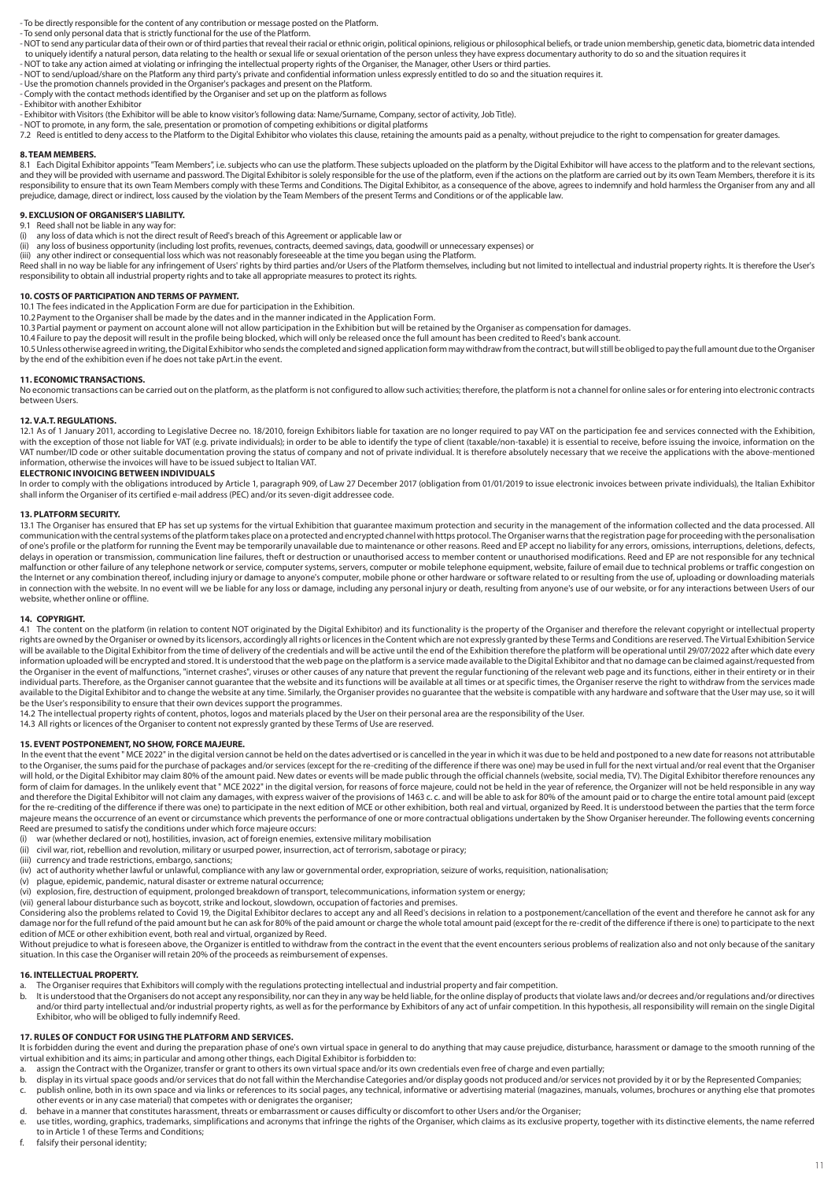- To be directly responsible for the content of any contribution or message posted on the Platform.

- To send only personal data that is strictly functional for the use of the Platform.

. NOT to send any particular data of their own or of third parties that reveal their racial or ethnic origin, political opinions, religious or philosophical beliefs, or trade union membership, genetic data, biometric data to uniquely identify a natural person, data relating to the health or sexual life or sexual orientation of the person unless they have express documentary authority to do so and the situation requires it<br>- NOT to take any

- NOT to send/upload/share on the Platform any third party's private and confidential information unless expressly entitled to do so and the situation requires it.

- Use the promotion channels provided in the Organiser's packages and present on the Platform.
- Comply with the contact methods identified by the Organiser and set up on the platform as follows

- Exhibitor with another Exhibitor

- Exhibitor with Visitors (the Exhibitor will be able to know visitor's following data: Name/Surname, Company, sector of activity, Job Title).

- NOT to promote, in any form, the sale, presentation or promotion of competing exhibitions or digital platforms<br>7.2 Reed is entitled to deny access to the Platform to the Digital Exhibitor who violates this clause, retain

#### **8. TEAM MEMBERS.**

8.1 Each Digital Exhibitor appoints "Team Members", i.e. subjects who can use the platform. These subjects uploaded on the platform by the Digital Exhibitor will have access to the platform and to the relevant sections, and they will be provided with username and password. The Digital Exhibitor is solely responsible for the use of the platform, even if the actions on the platform are carried out by its own Team Members, therefore it is it responsibility to ensure that its own Team Members comply with these Terms and Conditions. The Digital Exhibitor, as a consequence of the above, agrees to indemnify and hold harmless the Organiser from any and all<br>responsi prejudice, damage, direct or indirect, loss caused by the violation by the Team Members of the present Terms and Conditions or of the applicable law.

## **9. EXCLUSION OF ORGANISER'S LIABILITY.** 9.1 Reed shall not be liable in any way for:

(i) any loss of data which is not the direct result of Reed's breach of this Agreement or applicable law or

(ii) any loss of business opportunity (including lost profits, revenues, contracts, deemed savings, data, goodwill or unnecessary expenses) or<br>(iii) any other indirect or consequential loss which was not reasonably foresee

Reed shall in no way be liable for any infringement of Users' rights by third parties and/or Users of the Platform themselves, including but not limited to intellectual and industrial property rights. It is therefore the U responsibility to obtain all industrial property rights and to take all appropriate measures to protect its rights.

#### **10. COSTS OF PARTICIPATION AND TERMS OF PAYMENT.**

10.1 The fees indicated in the Application Form are due for participation in the Exhibition.

10.2Payment to the Organiser shall be made by the dates and in the manner indicated in the Application Form.

10.3Partial payment or payment on account alone will not allow participation in the Exhibition but will be retained by the Organiser as compensation for damages. 10.4 Failure to pay the deposit will result in the profile being blocked, which will only be released once the full amount has been credited to Reed's bank account.

10.5Unless otherwise agreed in writing, the Digital Exhibitor who sends the completed and signed application form may withdraw from the contract, but will still be obliged to pay the full amount due to the Organiser by the end of the exhibition even if he does not take pArt.in the event.

#### **11. ECONOMIC TRANSACTIONS.**

No economic transactions can be carried out on the platform, as the platform is not configured to allow such activities; therefore, the platform is not a channel for online sales or for entering into electronic contracts between Users.

#### **12. V.A.T. REGULATIONS.**

12.1 As of 1 January 2011, according to Legislative Decree no. 18/2010, foreign Exhibitors liable for taxation are no longer required to pay VAT on the participation fee and services connected with the Exhibition, with the exception of those not liable for VAT (e.g. private individuals); in order to be able to identify the type of client (taxable/non-taxable) it is essential to receive, before issuing the invoice, information on the VAT number/ID code or other suitable documentation proving the status of company and not of private individual. It is therefore absolutely necessary that we receive the applications with the above-mentioned information, otherwise the invoices will have to be issued subject to Italian VAT.

#### **ELECTRONIC INVOICING BETWEEN INDIVIDUALS**

In order to comply with the obligations introduced by Article 1, paragraph 909, of Law 27 December 2017 (obligation from 01/01/2019 to issue electronic invoices between private individuals), the Italian Exhibitor shall inform the Organiser of its certified e-mail address (PEC) and/or its seven-digit addressee code.

#### **13. PLATFORM SECURITY.**

13.1 The Organiser has ensured that EP has set up systems for the virtual Exhibition that guarantee maximum protection and security in the management of the information collected and the data processed. All 13.1 The Organi communication with the central systems of the platform takes place on a protected and encrypted channel with https protocol. The Organiser warns that the registration page for proceeding with the personalisation communicat of one's profile or the platform for running the Event may be temporarily unavailable due to maintenance or other reasons. Reed and EP accept no liability for any errors, omissions, interruptions, deletions, defects, delays in operation or transmission, communication line failures, theft or destruction or unauthorised access to member content or unauthorised modifications. Reed and EP are not responsible for any technical malfunction or other failure of any telephone network or service, computer systems, servers, computer or mobile telephone equipment, website, failure of email due to technical problems or traffic congestion on the Internet or any combination thereof, including injury or damage to anyone's computer, mobile phone or other hardware or software related to or resulting from the use of, uploading or downloading materials in connection with the website. In no event will we be liable for any loss or damage, including any personal injury or death, resulting from anyone's use of our website, or for any interactions between Users of our website, whether online or offline.

#### **14. COPYRIGHT.**

4.1 The content on the platform (in relation to content NOT originated by the Digital Exhibitor) and its functionality is the property of the Organiser and therefore the relevant copyright or intellectual property rights are owned by the Organiser or owned by its licensors, accordingly all rights or licences in the Content which are not expressly granted by these Terms and Conditions are reserved. The Virtual Exhibition Service<br>will information uploaded will be encrypted and stored. It is understood that the web page on the platform is a service made available to the Digital Exhibitor and that no damage can be claimed against/requested from the Organiser in the event of malfunctions, "internet crashes", viruses or other causes of any nature that prevent the regular functioning of the relevant web page and its functions, either in their entirety or in their<br>in available to the Digital Exhibitor and to change the website at any time. Similarly, the Organiser provides no guarantee that the website is compatible with any hardware and software that the User may use, so it will be the User's responsibility to ensure that their own devices support the programmes.

14.2 The intellectual property rights of content, photos, logos and materials placed by the User on their personal area are the responsibility of the User.

14.3 All rights or licences of the Organiser to content not expressly granted by these Terms of Use are reserved.

#### **15. EVENT POSTPONEMENT, NO SHOW, FORCE MAJEURE.**

In the event that the event " MCE 2022" in the digital version cannot be held on the dates advertised or is cancelled in the year in which it was due to be held and postponed to a new date for reasons not attributable to the Organiser, the sums paid for the purchase of packages and/or services (except for the re-crediting of the difference if there was one) may be used in full for the next virtual and/or real event that the Organiser<br>wi form of claim for damages. In the unlikely event that " MCE 2022" in the digital version, for reasons of force majeure, could not be held in the year of reference, the Organizer will not be held responsible in any way and therefore the Digital Exhibitor will not claim any damages, with express waiver of the provisions of 1463 c. c. and will be able to ask for 80% of the amount paid or to charge the entire total amount paid (except<br>for t majeure means the occurrence of an event or circumstance which prevents the performance of one or more contractual obligations undertaken by the Show Organiser hereunder. The following events concerning Reed are presumed to satisfy the conditions under which force majeure occurs:

- recourse procurred to statisty the continuous annotation and the memies, extensive military mobilisation<br>(i) war (whether declared or not), hostilities, invasion, act of foreign enemies, extensive military mobilisation<br>(ii
- civil war, riot, rebellion and revolution, military or usurped power, insurrection, act of terrorism, sabotage or piracy;
- 
- (iii) currency and trade restrictions, embargo, sanctions;<br>(iv) act of authority whether lawful or unlawful, compliance with any law or governmental order, expropriation, seizure of works, requisition, nationalisation;
- (v) plague, epidemic, pandemic, natural disaster or extreme natural occurrence;
- (vi) explosion, fire, destruction of equipment, prolonged breakdown of transport, telecommunications, information system or energy;
- (vii) general labour disturbance such as boycott, strike and lockout, slowdown, occupation of factories and premises.

Considering also the problems related to Covid 19, the Digital Exhibitor declares to accept any and all Reed's decisions in relation to a postponement/cancellation of the event and therefore he cannot ask for any damage nor for the full refund of the paid amount but he can ask for 80% of the paid amount or charge the whole total amount paid (except for the re-credit of the difference if there is one) to participate to the next edition of MCE or other exhibition event, both real and virtual, organized by Reed.

Without prejudice to what is foreseen above, the Organizer is entitled to withdraw from the contract in the event that the event encounters serious problems of realization also and not only because of the sanitary situation. In this case the Organiser will retain 20% of the proceeds as reimbursement of expenses.

#### **16. INTELLECTUAL PROPERTY.**

- a. The Organiser requires that Exhibitors will comply with the regulations protecting intellectual and industrial property and fair competition.<br>b. It is understood that the Organisers do not accept any responsibility, nor
- It is understood that the Organisers do not accept any responsibility, nor can they in any way be held liable, for the online display of products that violate laws and/or decrees and/or regulations and/or directives and/or third party intellectual and/or industrial property rights, as well as for the performance by Exhibitors of any act of unfair competition. In this hypothesis, all responsibility will remain on the single Digital Exhibitor, who will be obliged to fully indemnify Reed.

#### **17. RULES OF CONDUCT FOR USING THE PLATFORM AND SERVICES.**

It is forbidden during the event and during the preparation phase of one's own virtual space in general to do anything that may cause prejudice, disturbance, harassment or damage to the smooth running of the virtual exhibition and its aims; in particular and among other things, each Digital Exhibitor is forbidden to:

a. assign the Contract with the Organizer, transfer or grant to others its own virtual space and/or its own credentials even free of charge and even partially;<br>butish avid its virtual space goods and/or services that do no

- b. display in its virtual space goods and/or services that do not fall within the Merchandise Categories and/or display goods not produced and/or services not provided by it or by the Represented Companies;<br>c. publish onli publish online, both in its own space and via links or references to its social pages, any technical, informative or advertising material (magazines, manuals, volumes, brochures or anything else that promotes other events or in any case material) that competes with or denigrates the organiser;
- d. behave in a manner that constitutes harassment, threats or embarrassment or causes difficulty or discomfort to other Users and/or the Organiser;
- e. use titles, wording, graphics, trademarks, simplifications and acronyms that infringe the rights of the Organiser, which claims as its exclusive property, together with its distinctive elements, the name referred to in Article 1 of these Terms and Conditions;
- f. falsify their personal identity;